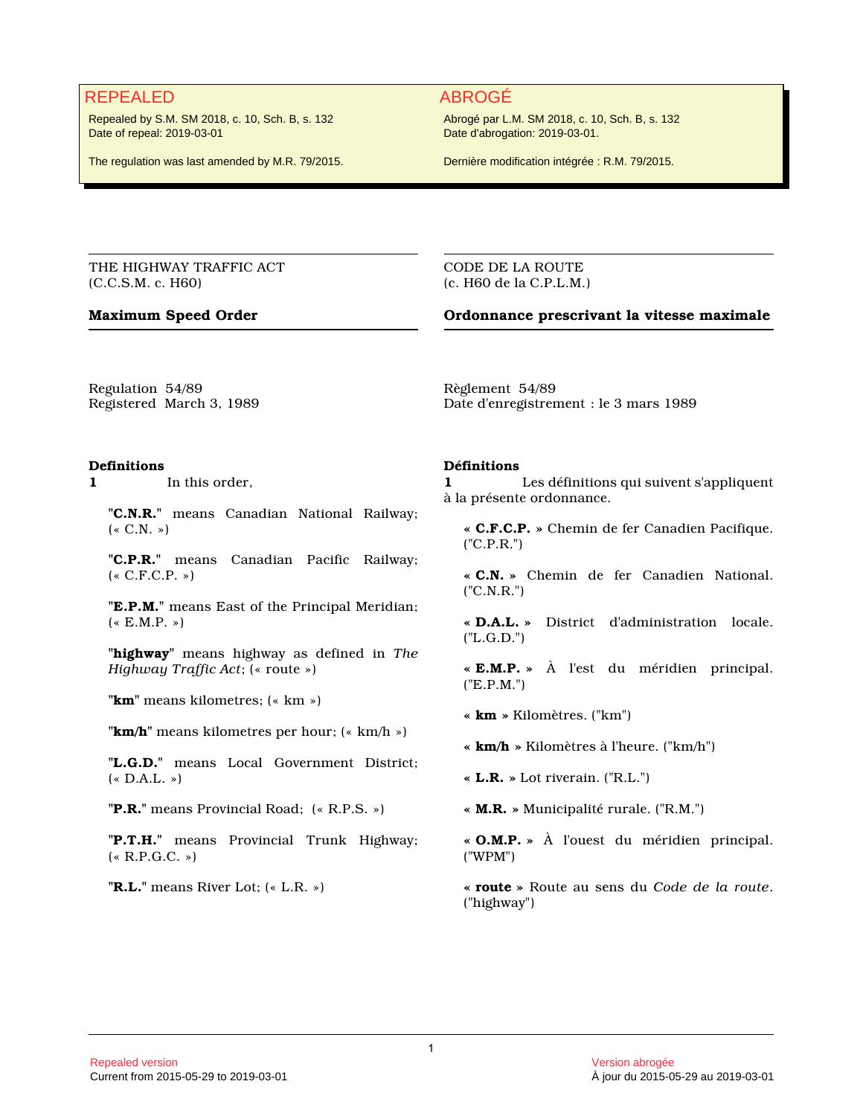# REPEALED ABROGÉ

Repealed by S.M. SM 2018, c. 10, Sch. B, s. 132 Date of repeal: 2019-03-01

The regulation was last amended by M.R. 79/2015.

Abrogé par L.M. SM 2018, c. 10, Sch. B, s. 132 Date d'abrogation: 2019-03-01.

Dernière modification intégrée : R.M. 79/2015.

THE HIGHWAY TRAFFIC ACT (C.C.S.M. c. H60)

#### CODE DE LA ROUTE (c. H60 de la C.P.L.M.)

# **Maximum Speed Order Ordonnance prescrivant la vitesse maximale**

Regulation 54/89 Registered March 3, 1989

#### **Definitions**

**1** In this order,

**"C.N.R."** means Canadian National Railway;  $(* C.N. *)$ 

**"C.P.R."** means Canadian Pacific Railway;  $(* C.F.C.P. *)$ 

**"E.P.M."** means East of the Principal Meridian;  $(* E.M.P. *)$ 

**"highway"** means highway as defined in *The Highway Traffic Act*; (« route »)

**"km"** means kilometres; (« km »)

**"km/h"** means kilometres per hour; (« km/h »)

**"L.G.D."** means Local Government District;  $(*\,D.A.L.*)$ 

**"P.R."** means Provincial Road; (« R.P.S. »)

**"P.T.H."** means Provincial Trunk Highway; (« R.P.G.C. »)

**"R.L."** means River Lot; (« L.R. »)

Règlement 54/89 Date d'enregistrement : le 3 mars 1989

#### **Définitions**

**1** Les définitions qui suivent s'appliquent à la présente ordonnance.

**« C.F.C.P. »** Chemin de fer Canadien Pacifique. ("C.P.R.")

**« C.N. »** Chemin de fer Canadien National. ("C.N.R.")

**« D.A.L. »** District d'administration locale. ("L.G.D.")

**« E.M.P. »** À l'est du méridien principal. ("E.P.M.")

- **« km »** Kilomètres. ("km")
- **« km/h »** Kilomètres à l'heure. ("km/h")
- **« L.R. »** Lot riverain. ("R.L.")
- **« M.R. »** Municipalité rurale. ("R.M.")

**« O.M.P. »** À l'ouest du méridien principal. ("WPM")

**« route »** Route au sens du *Code de la route*. ("highway")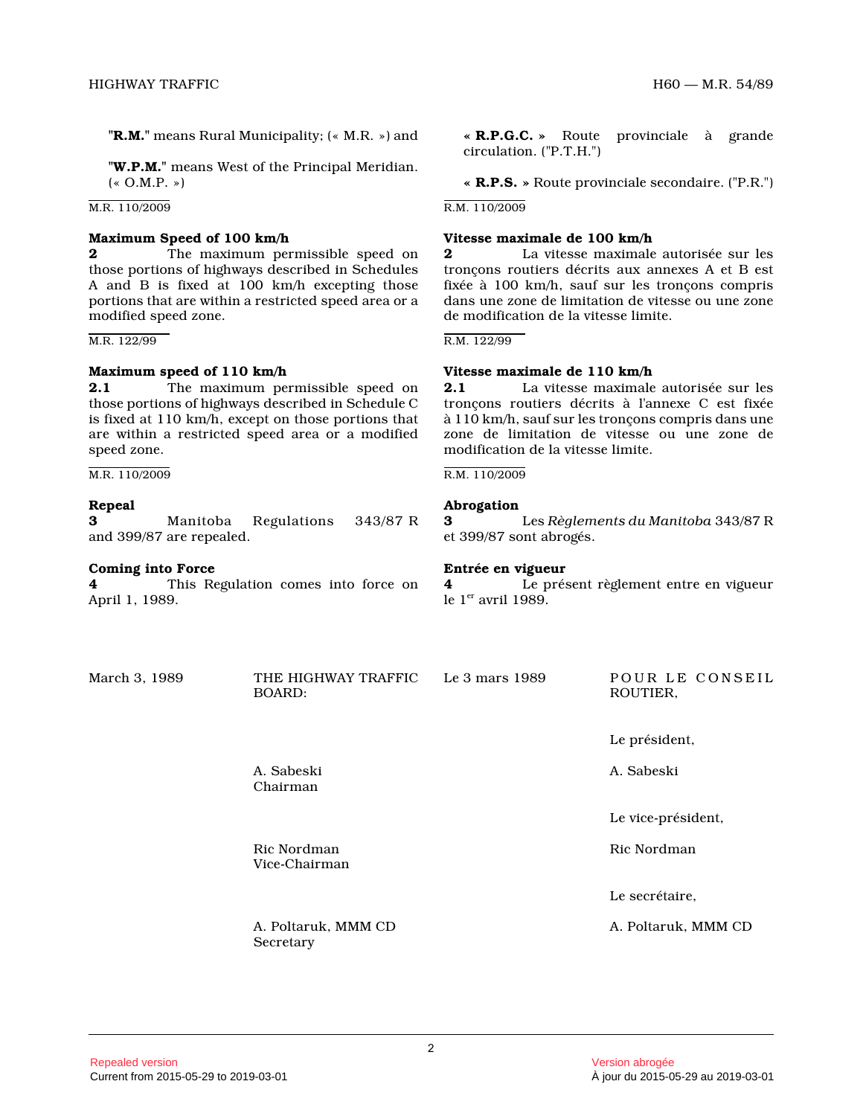**"R.M."** means Rural Municipality; (« M.R. ») and

**"W.P.M."** means West of the Principal Meridian.  $(*$  O.M.P.  $*)$ 

M.R. 110/2009

#### **Maximum Speed of 100 km/h**

**2** The maximum permissible speed on those portions of highways described in Schedules A and B is fixed at 100 km/h excepting those portions that are within a restricted speed area or a modified speed zone.

#### M.R. 122/99

#### **Maximum speed of 110 km/h**

**2.1** The maximum permissible speed on those portions of highways described in Schedule C is fixed at 110 km/h, except on those portions that are within a restricted speed area or a modified speed zone.

M.R. 110/2009

#### **Repeal**

**3** Manitoba Regulations 343/87 R and 399/87 are repealed.

#### **Coming into Force**

**4** This Regulation comes into force on April 1, 1989.

**« R.P.G.C. »** Route provinciale à grande circulation. ("P.T.H.")

**« R.P.S. »** Route provinciale secondaire. ("P.R.")

R.M. 110/2009

#### **Vitesse maximale de 100 km/h**

**2** La vitesse maximale autorisée sur les tronçons routiers décrits aux annexes A et B est fixée à 100 km/h, sauf sur les tronçons compris dans une zone de limitation de vitesse ou une zone de modification de la vitesse limite.

R.M. 122/99

#### **Vitesse maximale de 110 km/h**

**2.1** La vitesse maximale autorisée sur les tronçons routiers décrits à l'annexe C est fixée à 110 km/h, sauf sur les tronçons compris dans une zone de limitation de vitesse ou une zone de modification de la vitesse limite.

R.M. 110/2009

#### **Abrogation**

**3** Les *Règlements du Manitoba* 343/87 R et 399/87 sont abrogés.

#### **Entrée en vigueur**

**4** Le présent règlement entre en vigueur le  $1<sup>er</sup>$  avril 1989.

March 3, 1989 THE HIGHWAY TRAFFIC BOARD: Le 3 mars 1989 POUR LE CONSEIL ROUTIER, Le président, A. Sabeski Chairman A. Sabeski Ric Nordman Vice-Chairman Le vice-président, Ric Nordman A. Poltaruk, MMM CD Secretary Le secrétaire, A. Poltaruk, MMM CD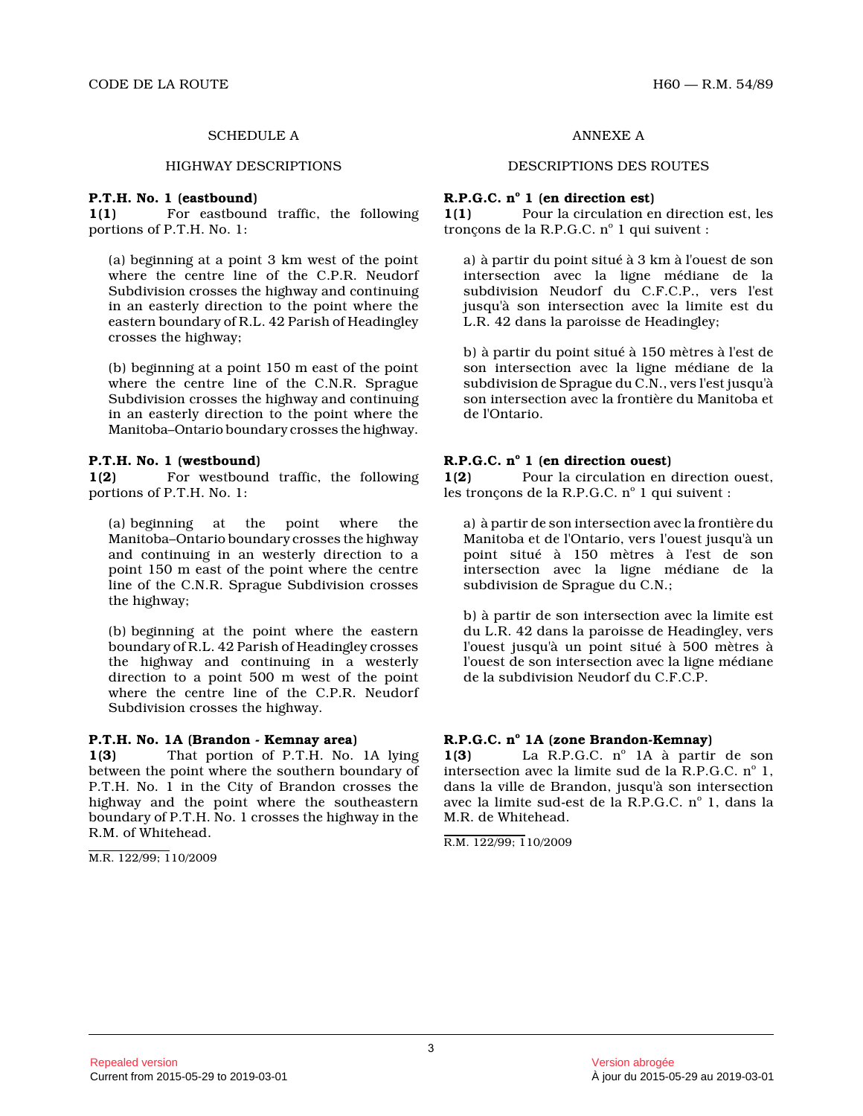#### SCHEDULE A

#### HIGHWAY DESCRIPTIONS

#### **P.T.H. No. 1 (eastbound)**

**1(1)** For eastbound traffic, the following portions of P.T.H. No. 1:

(a) beginning at a point 3 km west of the point where the centre line of the C.P.R. Neudorf Subdivision crosses the highway and continuing in an easterly direction to the point where the eastern boundary of R.L. 42 Parish of Headingley crosses the highway;

(b) beginning at a point 150 m east of the point where the centre line of the C.N.R. Sprague Subdivision crosses the highway and continuing in an easterly direction to the point where the Manitoba–Ontario boundary crosses the highway.

#### **P.T.H. No. 1 (westbound)**

**1(2)** For westbound traffic, the following portions of P.T.H. No. 1:

(a) beginning at the point where the Manitoba–Ontario boundary crosses the highway and continuing in an westerly direction to a point 150 m east of the point where the centre line of the C.N.R. Sprague Subdivision crosses the highway;

(b) beginning at the point where the eastern boundary of R.L. 42 Parish of Headingley crosses the highway and continuing in a westerly direction to a point 500 m west of the point where the centre line of the C.P.R. Neudorf Subdivision crosses the highway.

#### **P.T.H. No. 1A (Brandon - Kemnay area)**

**1(3)** That portion of P.T.H. No. 1A lying between the point where the southern boundary of P.T.H. No. 1 in the City of Brandon crosses the highway and the point where the southeastern boundary of P.T.H. No. 1 crosses the highway in the R.M. of Whitehead.

M.R. 122/99; 110/2009

#### ANNEXE A

#### DESCRIPTIONS DES ROUTES

#### **R.P.G.C. n o 1 (en direction est)**

**1(1)** Pour la circulation en direction est, les tronçons de la R.P.G.C. nº 1 qui suivent :

a) à partir du point situé à 3 km à l'ouest de son intersection avec la ligne médiane de la subdivision Neudorf du C.F.C.P., vers l'est jusqu'à son intersection avec la limite est du L.R. 42 dans la paroisse de Headingley;

b) à partir du point situé à 150 mètres à l'est de son intersection avec la ligne médiane de la subdivision de Sprague du C.N., vers l'est jusqu'à son intersection avec la frontière du Manitoba et de l'Ontario.

#### **R.P.G.C. n o 1 (en direction ouest)**

**1(2)** Pour la circulation en direction ouest, les tronçons de la R.P.G.C. nº 1 qui suivent :

a) à partir de son intersection avec la frontière du Manitoba et de l'Ontario, vers l'ouest jusqu'à un point situé à 150 mètres à l'est de son intersection avec la ligne médiane de la subdivision de Sprague du C.N.;

b) à partir de son intersection avec la limite est du L.R. 42 dans la paroisse de Headingley, vers l'ouest jusqu'à un point situé à 500 mètres à l'ouest de son intersection avec la ligne médiane de la subdivision Neudorf du C.F.C.P.

# **R.P.G.C. n o 1A (zone Brandon-Kemnay)**

1(3) La R.P.G.C. nº 1A à partir de son intersection avec la limite sud de la R.P.G.C.  $n^{\circ}$  1, dans la ville de Brandon, jusqu'à son intersection avec la limite sud-est de la R.P.G.C. nº 1, dans la M.R. de Whitehead.

R.M. 122/99; 110/2009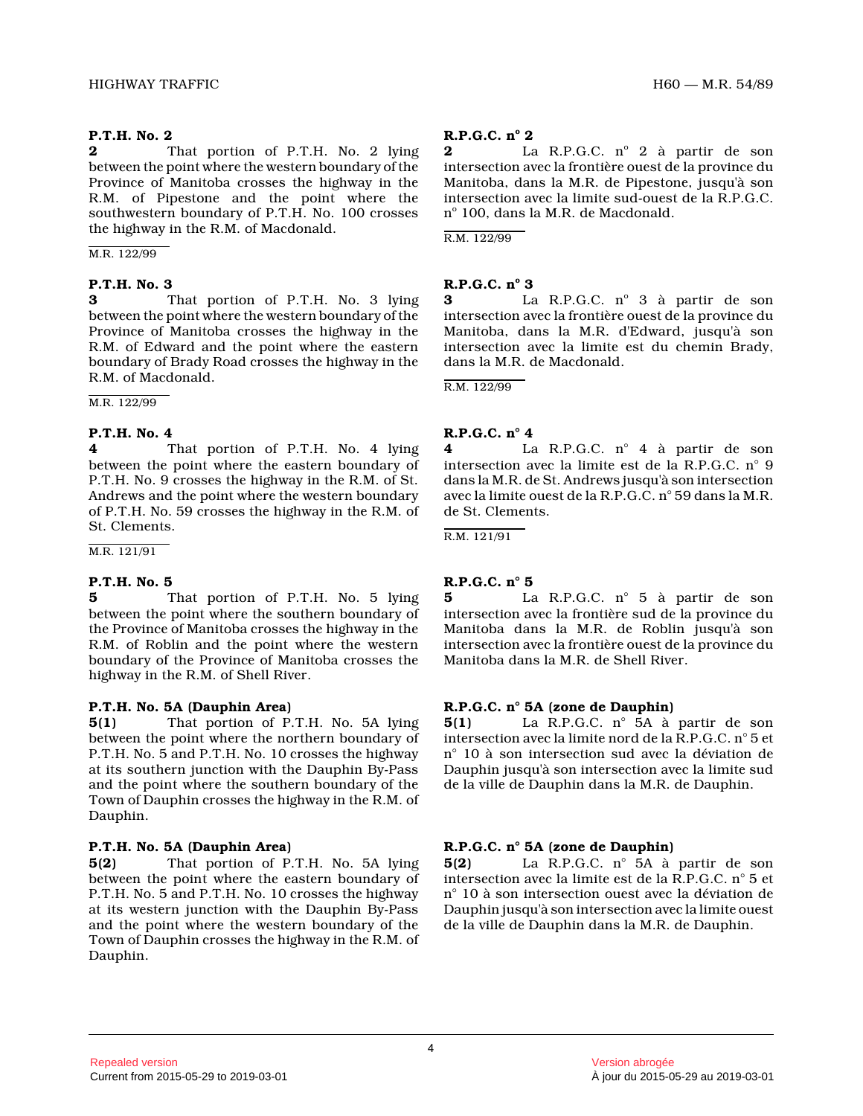**2** That portion of P.T.H. No. 2 lying between the point where the western boundary of the Province of Manitoba crosses the highway in the R.M. of Pipestone and the point where the southwestern boundary of P.T.H. No. 100 crosses the highway in the R.M. of Macdonald.

M.R. 122/99

#### **P.T.H. No. 3**

**3** That portion of P.T.H. No. 3 lying between the point where the western boundary of the Province of Manitoba crosses the highway in the R.M. of Edward and the point where the eastern boundary of Brady Road crosses the highway in the R.M. of Macdonald.

M.R. 122/99

#### **P.T.H. No. 4**

**4** That portion of P.T.H. No. 4 lying between the point where the eastern boundary of P.T.H. No. 9 crosses the highway in the R.M. of St. Andrews and the point where the western boundary of P.T.H. No. 59 crosses the highway in the R.M. of St. Clements.

M.R. 121/91

## **P.T.H. No. 5**

**5** That portion of P.T.H. No. 5 lying between the point where the southern boundary of the Province of Manitoba crosses the highway in the R.M. of Roblin and the point where the western boundary of the Province of Manitoba crosses the highway in the R.M. of Shell River.

## **P.T.H. No. 5A (Dauphin Area)**

**5(1)** That portion of P.T.H. No. 5A lying between the point where the northern boundary of P.T.H. No. 5 and P.T.H. No. 10 crosses the highway at its southern junction with the Dauphin By-Pass and the point where the southern boundary of the Town of Dauphin crosses the highway in the R.M. of Dauphin.

## **P.T.H. No. 5A (Dauphin Area)**

**5(2)** That portion of P.T.H. No. 5A lying between the point where the eastern boundary of P.T.H. No. 5 and P.T.H. No. 10 crosses the highway at its western junction with the Dauphin By-Pass and the point where the western boundary of the Town of Dauphin crosses the highway in the R.M. of Dauphin.

# **R.P.G.C. n o 2**

**2** La R.P.G.C. n<sup>o</sup> 2 à partir de son intersection avec la frontière ouest de la province du Manitoba, dans la M.R. de Pipestone, jusqu'à son intersection avec la limite sud-ouest de la R.P.G.C . nº 100, dans la M.R. de Macdonald.

R.M. 122/99

# **R.P.G.C. n o 3**

**3** La R.P.G.C. n<sup>o</sup> 3 à partir de son intersection avec la frontière ouest de la province du Manitoba, dans la M.R. d'Edward, jusqu'à son intersection avec la limite est du chemin Brady, dans la M.R. de Macdonald.

R.M. 122/99

## **R.P.G.C. n° 4**

**4** La R.P.G.C. n° 4 à partir de son intersection avec la limite est de la R.P.G.C. n° 9 dans la M.R. de St. Andrews jusqu'à son intersectio n avec la limite ouest de la R.P.G.C. n° 59 dans la M.R. de St. Clements.

R.M. 121/91

# **R.P.G.C. n° 5**

**5** La R.P.G.C. n° 5 à partir de son intersection avec la frontière sud de la province d u Manitoba dans la M.R. de Roblin jusqu'à son intersection avec la frontière ouest de la province du Manitoba dans la M.R. de Shell River.

## **R.P.G.C. n° 5A (zone de Dauphin)**

**5(1)** La R.P.G.C. n° 5A à partir de son intersection avec la limite nord de la R.P.G.C. n° 5 et n° 10 à son intersection sud avec la déviation de Dauphin jusqu'à son intersection avec la limite sud de la ville de Dauphin dans la M.R. de Dauphin.

# **R.P.G.C. n° 5A (zone de Dauphin)**

**5(2)** La R.P.G.C. n° 5A à partir de son intersection avec la limite est de la R.P.G.C. n° 5 et n° 10 à son intersection ouest avec la déviation de Dauphin jusqu'à son intersection avec la limite ouest de la ville de Dauphin dans la M.R. de Dauphin.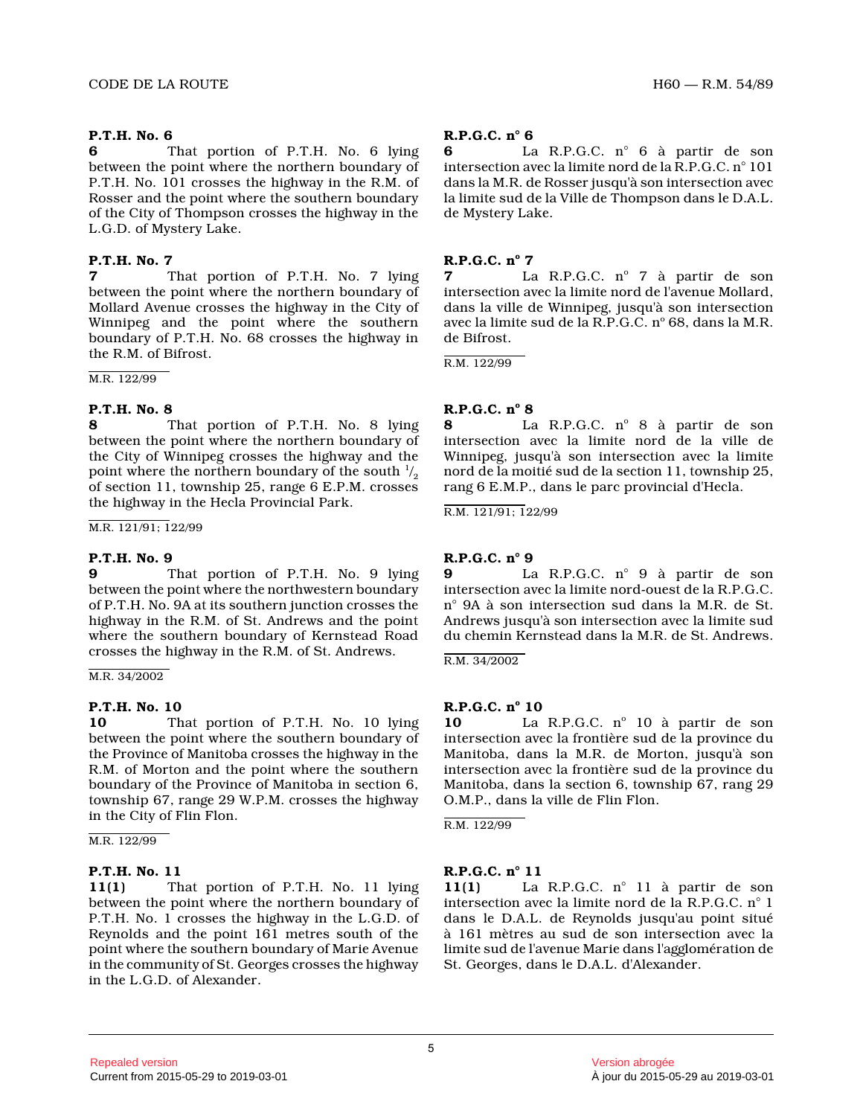**6** That portion of P.T.H. No. 6 lying between the point where the northern boundary of P.T.H. No. 101 crosses the highway in the R.M. of Rosser and the point where the southern boundary of the City of Thompson crosses the highway in the L.G.D. of Mystery Lake.

#### **P.T.H. No. 7**

**7** That portion of P.T.H. No. 7 lying between the point where the northern boundary of Mollard Avenue crosses the highway in the City of Winnipeg and the point where the southern boundary of P.T.H. No. 68 crosses the highway in the R.M. of Bifrost.

M.R. 122/99

**P.T.H. No. 8 8** That portion of P.T.H. No. 8 lying between the point where the northern boundary of the City of Winnipeg crosses the highway and the point where the northern boundary of the south  $\frac{1}{2}$ of section 11, township 25, range 6 E.P.M. crosses the highway in the Hecla Provincial Park.

M.R. 121/91; 122/99

#### **P.T.H. No. 9**

**9** That portion of P.T.H. No. 9 lying between the point where the northwestern boundary of P.T.H. No. 9A at its southern junction crosses the highway in the R.M. of St. Andrews and the point where the southern boundary of Kernstead Road crosses the highway in the R.M. of St. Andrews.

M.R. 34/2002

#### **P.T.H. No. 10**

**10** That portion of P.T.H. No. 10 lying between the point where the southern boundary of the Province of Manitoba crosses the highway in the R.M. of Morton and the point where the southern boundary of the Province of Manitoba in section 6, township 67, range 29 W.P.M. crosses the highway in the City of Flin Flon.

#### M.R. 122/99

#### **P.T.H. No. 11**

**11(1)** That portion of P.T.H. No. 11 lying between the point where the northern boundary of P.T.H. No. 1 crosses the highway in the L.G.D. of Reynolds and the point 161 metres south of the point where the southern boundary of Marie Avenue in the community of St. Georges crosses the highway in the L.G.D. of Alexander.

#### **R.P.G.C. n° 6**

**6** La R.P.G.C. n° 6 à partir de son intersection avec la limite nord de la R.P.G.C. n° 101 dans la M.R. de Rosser jusqu'à son intersection ave c la limite sud de la Ville de Thompson dans le D.A.L . de Mystery Lake.

# **R.P.G.C. n o 7**

**7** La R.P.G.C. n<sup>o</sup> 7 à partir de son intersection avec la limite nord de l'avenue Mollard, dans la ville de Winnipeg, jusqu'à son intersection avec la limite sud de la R.P.G.C. nº 68, dans la M.R. de Bifrost.

R.M. 122/99

### **R.P.G.C. n o 8**

**8** La R.P.G.C. n<sup>o</sup> 8 à partir de son intersection avec la limite nord de la ville de Winnipeg, jusqu'à son intersection avec la limite nord de la moitié sud de la section 11, township 25 , rang 6 E.M.P., dans le parc provincial d'Hecla.

R.M. 121/91; 122/99

# **R.P.G.C. n° 9**

**9** La R.P.G.C. n° 9 à partir de son intersection avec la limite nord-ouest de la R.P.G.C. n° 9A à son intersection sud dans la M.R. de St. Andrews jusqu'à son intersection avec la limite sud du chemin Kernstead dans la M.R. de St. Andrews.

R.M. 34/2002

# **R.P.G.C. n o 10**

10 La R.P.G.C. nº 10 à partir de son intersection avec la frontière sud de la province d u Manitoba, dans la M.R. de Morton, jusqu'à son intersection avec la frontière sud de la province d u Manitoba, dans la section 6, township 67, rang 29 O.M.P., dans la ville de Flin Flon.

R.M. 122/99

## **R.P.G.C. n° 11**

**11(1)** La R.P.G.C. n° 11 à partir de son intersection avec la limite nord de la R.P.G.C. n° 1 dans le D.A.L. de Reynolds jusqu'au point situé à 161 mètres au sud de son intersection avec la limite sud de l'avenue Marie dans l'agglomération d e St. Georges, dans le D.A.L. d'Alexander.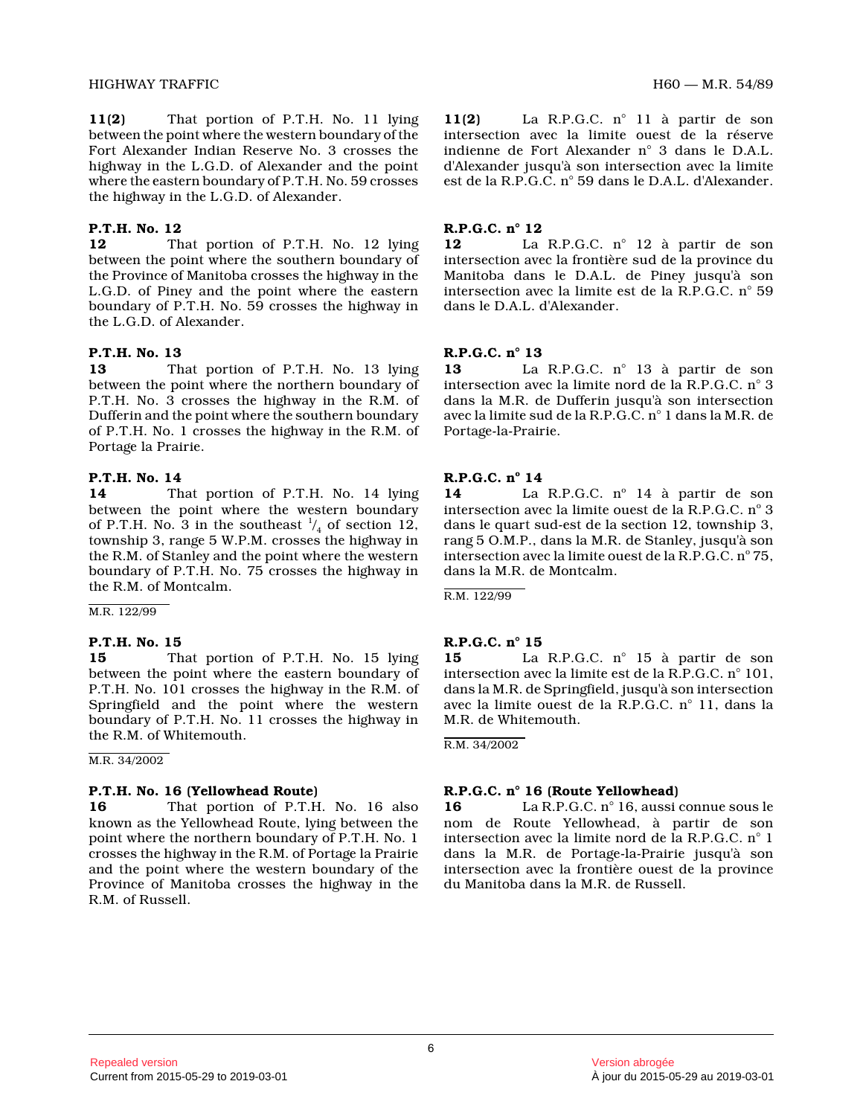**11(2)** That portion of P.T.H. No. 11 lying between the point where the western boundary of the Fort Alexander Indian Reserve No. 3 crosses the highway in the L.G.D. of Alexander and the point where the eastern boundary of P.T.H. No. 59 crosses the highway in the L.G.D. of Alexander.

#### **P.T.H. No. 12**

**12** That portion of P.T.H. No. 12 lying between the point where the southern boundary of the Province of Manitoba crosses the highway in the L.G.D. of Piney and the point where the eastern boundary of P.T.H. No. 59 crosses the highway in the L.G.D. of Alexander.

#### **P.T.H. No. 13**

**13** That portion of P.T.H. No. 13 lying between the point where the northern boundary of P.T.H. No. 3 crosses the highway in the R.M. of Dufferin and the point where the southern boundary of P.T.H. No. 1 crosses the highway in the R.M. of Portage la Prairie.

#### **P.T.H. No. 14**

**14** That portion of P.T.H. No. 14 lying between the point where the western boundary of P.T.H. No. 3 in the southeast  $\frac{1}{4}$  of section 12, township 3, range 5 W.P.M. crosses the highway in the R.M. of Stanley and the point where the western boundary of P.T.H. No. 75 crosses the highway in the R.M. of Montcalm.

M.R. 122/99

#### **P.T.H. No. 15**

**15** That portion of P.T.H. No. 15 lying between the point where the eastern boundary of P.T.H. No. 101 crosses the highway in the R.M. of Springfield and the point where the western boundary of P.T.H. No. 11 crosses the highway in the R.M. of Whitemouth.

M.R. 34/2002

#### **P.T.H. No. 16 (Yellowhead Route)**

**16** That portion of P.T.H. No. 16 also known as the Yellowhead Route, lying between the point where the northern boundary of P.T.H. No. 1 crosses the highway in the R.M. of Portage la Prairie and the point where the western boundary of the Province of Manitoba crosses the highway in the R.M. of Russell.

**11(2)** La R.P.G.C. n° 11 à partir de son intersection avec la limite ouest de la réserve indienne de Fort Alexander n° 3 dans le D.A.L. d'Alexander jusqu'à son intersection avec la limite est de la R.P.G.C. n° 59 dans le D.A.L. d'Alexander .

#### **R.P.G.C. n° 12**

**12** La R.P.G.C. n° 12 à partir de son intersection avec la frontière sud de la province d u Manitoba dans le D.A.L. de Piney jusqu'à son intersection avec la limite est de la R.P.G.C. n° 5 9 dans le D.A.L. d'Alexander.

#### **R.P.G.C. n° 13**

**13** La R.P.G.C. n° 13 à partir de son intersection avec la limite nord de la R.P.G.C. n° 3 dans la M.R. de Dufferin jusqu'à son intersection avec la limite sud de la R.P.G.C. n° 1 dans la M.R. de Portage-la-Prairie.

# **R.P.G.C. n o 14**

14 La R.P.G.C. nº 14 à partir de son intersection avec la limite ouest de la R.P.G.C.  $n^{\circ}$  3 dans le quart sud-est de la section 12, township 3, rang 5 O.M.P., dans la M.R. de Stanley, jusqu'à son intersection avec la limite ouest de la R.P.G.C.  $n^{\circ}$  75, dans la M.R. de Montcalm.

R.M. 122/99

## **R.P.G.C. n° 15**

**15** La R.P.G.C. n° 15 à partir de son intersection avec la limite est de la R.P.G.C. n° 101, dans la M.R. de Springfield, jusqu'à son intersection avec la limite ouest de la R.P.G.C. n° 11, dans la M.R. de Whitemouth.

R.M. 34/2002

#### **R.P.G.C. n° 16 (Route Yellowhead)**

**16** La R.P.G.C. n° 16, aussi connue sous le nom de Route Yellowhead, à partir de son intersection avec la limite nord de la R.P.G.C. n° 1 dans la M.R. de Portage-la-Prairie jusqu'à son intersection avec la frontière ouest de la province du Manitoba dans la M.R. de Russell.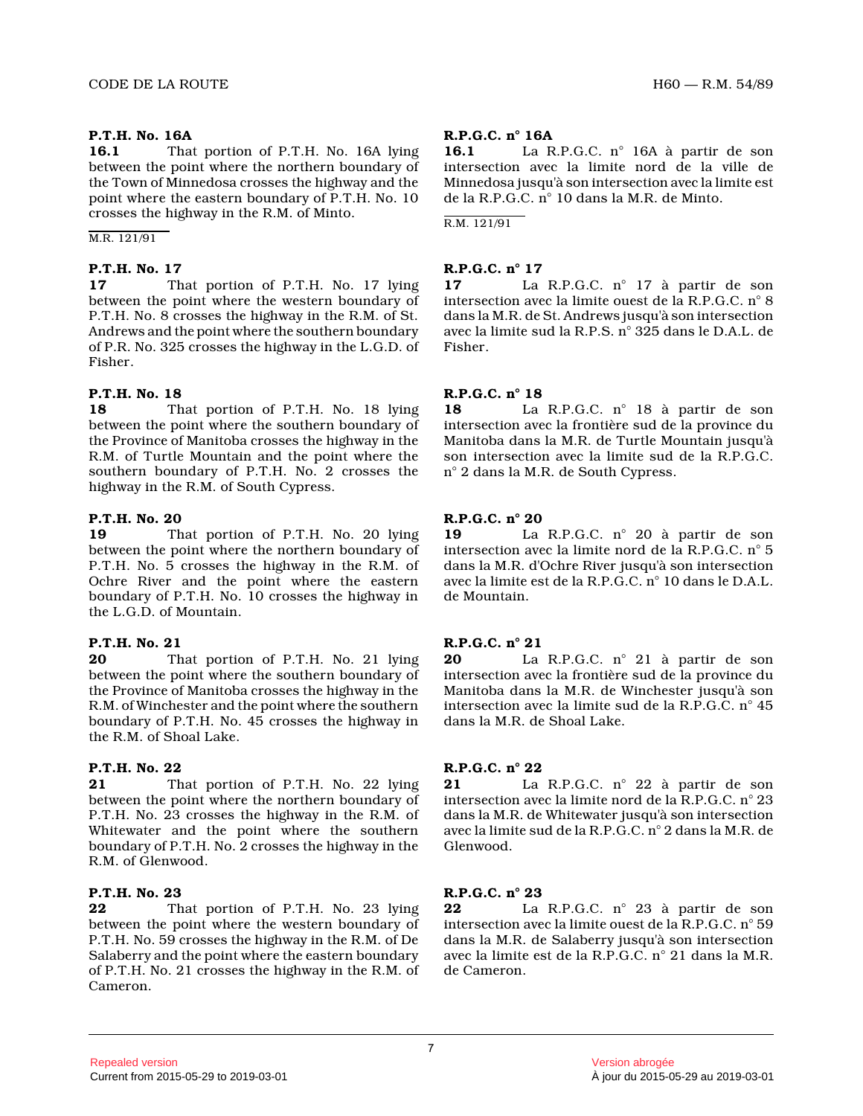#### **P.T.H. No. 16A**

**16.1** That portion of P.T.H. No. 16A lying between the point where the northern boundary of the Town of Minnedosa crosses the highway and the point where the eastern boundary of P.T.H. No. 10 crosses the highway in the R.M. of Minto.

M.R. 121/91

#### **P.T.H. No. 17**

**17** That portion of P.T.H. No. 17 lying between the point where the western boundary of P.T.H. No. 8 crosses the highway in the R.M. of St. Andrews and the point where the southern boundary of P.R. No. 325 crosses the highway in the L.G.D. o f Fisher.

## **P.T.H. No. 18**

**18** That portion of P.T.H. No. 18 lying between the point where the southern boundary of the Province of Manitoba crosses the highway in the R.M. of Turtle Mountain and the point where the southern boundary of P.T.H. No. 2 crosses the highway in the R.M. of South Cypress.

#### **P.T.H. No. 20**

**19** That portion of P.T.H. No. 20 lying between the point where the northern boundary of P.T.H. No. 5 crosses the highway in the R.M. of Ochre River and the point where the eastern boundary of P.T.H. No. 10 crosses the highway in the L.G.D. of Mountain.

## **P.T.H. No. 21**

**20** That portion of P.T.H. No. 21 lying between the point where the southern boundary of the Province of Manitoba crosses the highway in the R.M. of Winchester and the point where the southern boundary of P.T.H. No. 45 crosses the highway in the R.M. of Shoal Lake.

## **P.T.H. No. 22**

**21** That portion of P.T.H. No. 22 lying between the point where the northern boundary of P.T.H. No. 23 crosses the highway in the R.M. of Whitewater and the point where the southern boundary of P.T.H. No. 2 crosses the highway in the R.M. of Glenwood.

#### **P.T.H. No. 23**

**22** That portion of P.T.H. No. 23 lying between the point where the western boundary of P.T.H. No. 59 crosses the highway in the R.M. of De Salaberry and the point where the eastern boundary of P.T.H. No. 21 crosses the highway in the R.M. of Cameron.

# **R.P.G.C. n° 16A**

**16.1** La R.P.G.C. n° 16A à partir de son intersection avec la limite nord de la ville de Minnedosa jusqu'à son intersection avec la limite est de la R.P.G.C. n° 10 dans la M.R. de Minto.

R.M. 121/91

## **R.P.G.C. n° 17**

**17** La R.P.G.C. n° 17 à partir de son intersection avec la limite ouest de la R.P.G.C. n° 8 dans la M.R. de St. Andrews jusqu'à son intersectio n avec la limite sud la R.P.S. n° 325 dans le D.A.L. de Fisher.

## **R.P.G.C. n° 18**

**18** La R.P.G.C. n° 18 à partir de son intersection avec la frontière sud de la province d u Manitoba dans la M.R. de Turtle Mountain jusqu'à son intersection avec la limite sud de la R.P.G.C. n° 2 dans la M.R. de South Cypress.

# **R.P.G.C. n° 20**<br>19 La

**19** La R.P.G.C. n° 20 à partir de son intersection avec la limite nord de la R.P.G.C. n° 5 dans la M.R. d'Ochre River jusqu'à son intersection avec la limite est de la R.P.G.C. n° 10 dans le D.A.L. de Mountain.

## **R.P.G.C. n° 21**

**20** La R.P.G.C. n° 21 à partir de son intersection avec la frontière sud de la province d u Manitoba dans la M.R. de Winchester jusqu'à son intersection avec la limite sud de la R.P.G.C. n° 4 5 dans la M.R. de Shoal Lake.

## **R.P.G.C. n° 22**

**21** La R.P.G.C. n° 22 à partir de son intersection avec la limite nord de la R.P.G.C. n° 23 dans la M.R. de Whitewater jusqu'à son intersection avec la limite sud de la R.P.G.C. n° 2 dans la M.R. de Glenwood.

## **R.P.G.C. n° 23**

**22** La R.P.G.C. n° 23 à partir de son intersection avec la limite ouest de la R.P.G.C. n° 59 dans la M.R. de Salaberry jusqu'à son intersection avec la limite est de la R.P.G.C. n° 21 dans la M.R . de Cameron.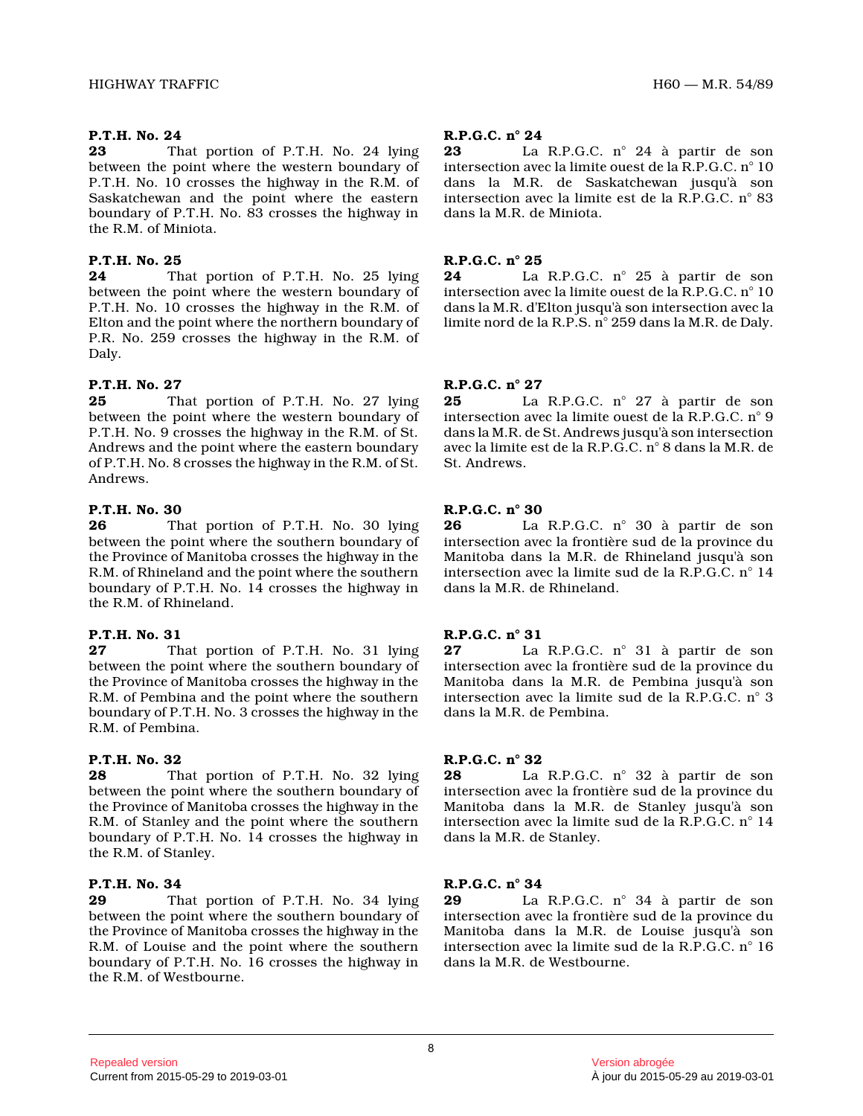**23** That portion of P.T.H. No. 24 lying between the point where the western boundary of P.T.H. No. 10 crosses the highway in the R.M. of Saskatchewan and the point where the eastern boundary of P.T.H. No. 83 crosses the highway in the R.M. of Miniota.

# **P.T.H. No. 25**

**24** That portion of P.T.H. No. 25 lying between the point where the western boundary of P.T.H. No. 10 crosses the highway in the R.M. of Elton and the point where the northern boundary of P.R. No. 259 crosses the highway in the R.M. of Daly.

# **P.T.H. No. 27**

**25** That portion of P.T.H. No. 27 lying between the point where the western boundary of P.T.H. No. 9 crosses the highway in the R.M. of St. Andrews and the point where the eastern boundary of P.T.H. No. 8 crosses the highway in the R.M. of St. Andrews.

# **P.T.H. No. 30**<br>**26** Th

**26** That portion of P.T.H. No. 30 lying between the point where the southern boundary of the Province of Manitoba crosses the highway in the R.M. of Rhineland and the point where the southern boundary of P.T.H. No. 14 crosses the highway in the R.M. of Rhineland.

## **P.T.H. No. 31**

**27** That portion of P.T.H. No. 31 lying between the point where the southern boundary of the Province of Manitoba crosses the highway in the R.M. of Pembina and the point where the southern boundary of P.T.H. No. 3 crosses the highway in the R.M. of Pembina.

# **P.T.H. No. 32**<br>**28** Th

**28** That portion of P.T.H. No. 32 lying between the point where the southern boundary of the Province of Manitoba crosses the highway in the R.M. of Stanley and the point where the southern boundary of P.T.H. No. 14 crosses the highway in the R.M. of Stanley.

# **P.T.H. No. 34**

**29** That portion of P.T.H. No. 34 lying between the point where the southern boundary of the Province of Manitoba crosses the highway in the R.M. of Louise and the point where the southern boundary of P.T.H. No. 16 crosses the highway in the R.M. of Westbourne.

# **R.P.G.C. n° 24**

**23** La R.P.G.C. n° 24 à partir de son intersection avec la limite ouest de la R.P.G.C. n° 10 dans la M.R. de Saskatchewan jusqu'à son intersection avec la limite est de la R.P.G.C. n° 8 3 dans la M.R. de Miniota.

# **R.P.G.C. n° 25**

**24** La R.P.G.C. n° 25 à partir de son intersection avec la limite ouest de la R.P.G.C. n° 10 dans la M.R. d'Elton jusqu'à son intersection avec la limite nord de la R.P.S. n° 259 dans la M.R. de Daly.

# **R.P.G.C. n° 27**

**25** La R.P.G.C. n° 27 à partir de son intersection avec la limite ouest de la R.P.G.C. n° 9 dans la M.R. de St. Andrews jusqu'à son intersectio n avec la limite est de la R.P.G.C. n° 8 dans la M.R. de St. Andrews.

# **R.P.G.C. n° 30**<br>26 *La*

**26** La R.P.G.C. n° 30 à partir de son intersection avec la frontière sud de la province d u Manitoba dans la M.R. de Rhineland jusqu'à son intersection avec la limite sud de la R.P.G.C. n° 1 4 dans la M.R. de Rhineland.

## **R.P.G.C. n° 31**

**27** La R.P.G.C. n° 31 à partir de son intersection avec la frontière sud de la province d u Manitoba dans la M.R. de Pembina jusqu'à son intersection avec la limite sud de la R.P.G.C. n° 3 dans la M.R. de Pembina.

## **R.P.G.C. n° 32**

**28** La R.P.G.C. n° 32 à partir de son intersection avec la frontière sud de la province d u Manitoba dans la M.R. de Stanley jusqu'à son intersection avec la limite sud de la R.P.G.C. n° 1 4 dans la M.R. de Stanley.

# **R.P.G.C. n° 34**

**29** La R.P.G.C. n° 34 à partir de son intersection avec la frontière sud de la province d u Manitoba dans la M.R. de Louise jusqu'à son intersection avec la limite sud de la R.P.G.C. n° 1 6 dans la M.R. de Westbourne.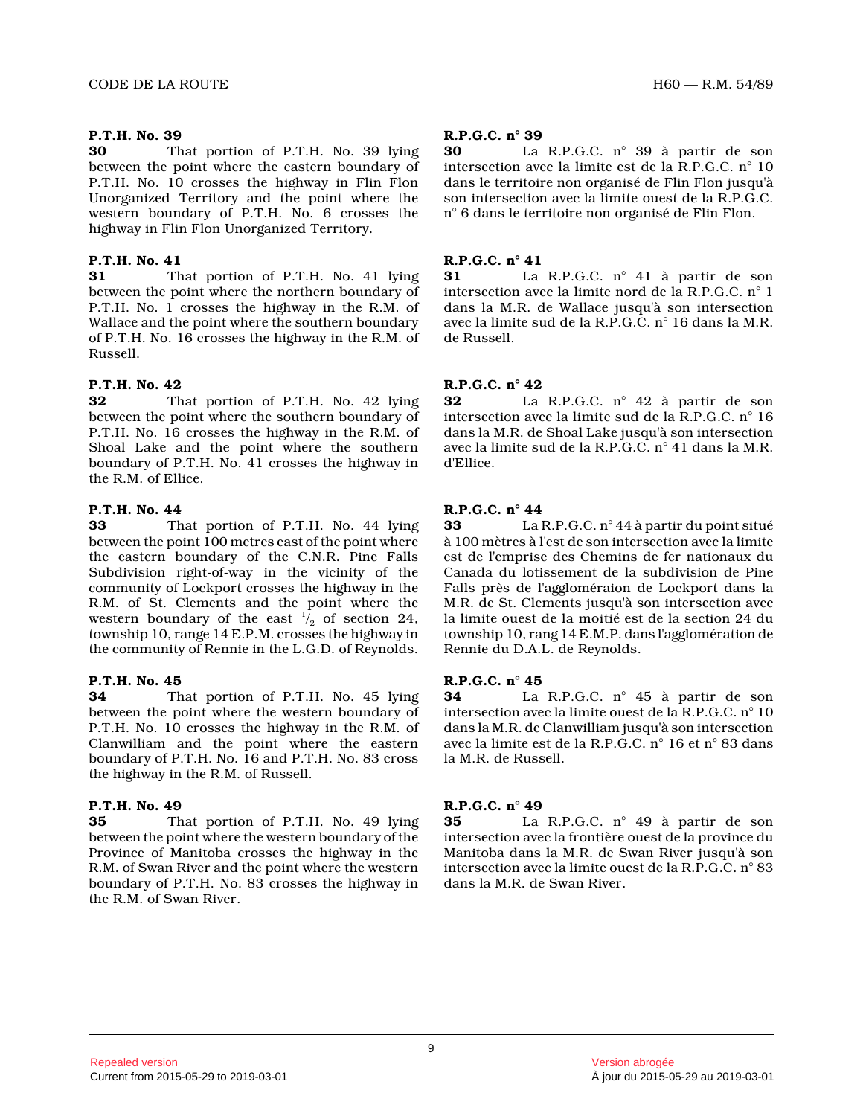**30** That portion of P.T.H. No. 39 lying between the point where the eastern boundary of P.T.H. No. 10 crosses the highway in Flin Flon Unorganized Territory and the point where the western boundary of P.T.H. No. 6 crosses the highway in Flin Flon Unorganized Territory.

#### **P.T.H. No. 41**

**31** That portion of P.T.H. No. 41 lying between the point where the northern boundary of P.T.H. No. 1 crosses the highway in the R.M. of Wallace and the point where the southern boundary of P.T.H. No. 16 crosses the highway in the R.M. of Russell.

#### **P.T.H. No. 42**

**32** That portion of P.T.H. No. 42 lying between the point where the southern boundary of P.T.H. No. 16 crosses the highway in the R.M. of Shoal Lake and the point where the southern boundary of P.T.H. No. 41 crosses the highway in the R.M. of Ellice.

# **P.T.H. No. 44**<br>33 Th

**33** That portion of P.T.H. No. 44 lying between the point 100 metres east of the point wher e the eastern boundary of the C.N.R. Pine Falls Subdivision right-of-way in the vicinity of the community of Lockport crosses the highway in the R.M. of St. Clements and the point where the western boundary of the east  $\frac{1}{2}$  of section 24, township 10, range 14 E.P.M. crosses the highway in the community of Rennie in the L.G.D. of Reynolds.

#### **P.T.H. No. 45**

**34** That portion of P.T.H. No. 45 lying between the point where the western boundary of P.T.H. No. 10 crosses the highway in the R.M. of Clanwilliam and the point where the eastern boundary of P.T.H. No. 16 and P.T.H. No. 83 cross the highway in the R.M. of Russell.

## **P.T.H. No. 49**

**35** That portion of P.T.H. No. 49 lying between the point where the western boundary of the Province of Manitoba crosses the highway in the R.M. of Swan River and the point where the western boundary of P.T.H. No. 83 crosses the highway in the R.M. of Swan River.

#### **R.P.G.C. n° 39**

**30** La R.P.G.C. n° 39 à partir de son intersection avec la limite est de la R.P.G.C. n° 1 0 dans le territoire non organisé de Flin Flon jusqu' à son intersection avec la limite ouest de la R.P.G.C . n° 6 dans le territoire non organisé de Flin Flon.

#### **R.P.G.C. n° 41**

**31** La R.P.G.C. n° 41 à partir de son intersection avec la limite nord de la R.P.G.C. n° 1 dans la M.R. de Wallace jusqu'à son intersection avec la limite sud de la R.P.G.C. n° 16 dans la M.R . de Russell.

#### **R.P.G.C. n° 42**

**32** La R.P.G.C. n° 42 à partir de son intersection avec la limite sud de la R.P.G.C. n° 1 6 dans la M.R. de Shoal Lake jusqu'à son intersection avec la limite sud de la R.P.G.C. n° 41 dans la M.R . d'Ellice.

## **R.P.G.C. n° 44**

**33** La R.P.G.C. n° 44 à partir du point situé à 100 mètres à l'est de son intersection avec la limite est de l'emprise des Chemins de fer nationaux du Canada du lotissement de la subdivision de Pine Falls près de l'aggloméraion de Lockport dans la M.R. de St. Clements jusqu'à son intersection avec la limite ouest de la moitié est de la section 24 d u township 10, rang 14 E.M.P. dans l'agglomération de Rennie du D.A.L. de Reynolds.

#### **R.P.G.C. n° 45**

**34** La R.P.G.C. n° 45 à partir de son intersection avec la limite ouest de la R.P.G.C. n° 10 dans la M.R. de Clanwilliam jusqu'à son intersectio n avec la limite est de la R.P.G.C. n° 16 et n° 83 dans la M.R. de Russell.

#### **R.P.G.C. n° 49**

**35** La R.P.G.C. n° 49 à partir de son intersection avec la frontière ouest de la province du Manitoba dans la M.R. de Swan River jusqu'à son intersection avec la limite ouest de la R.P.G.C. n° 83 dans la M.R. de Swan River.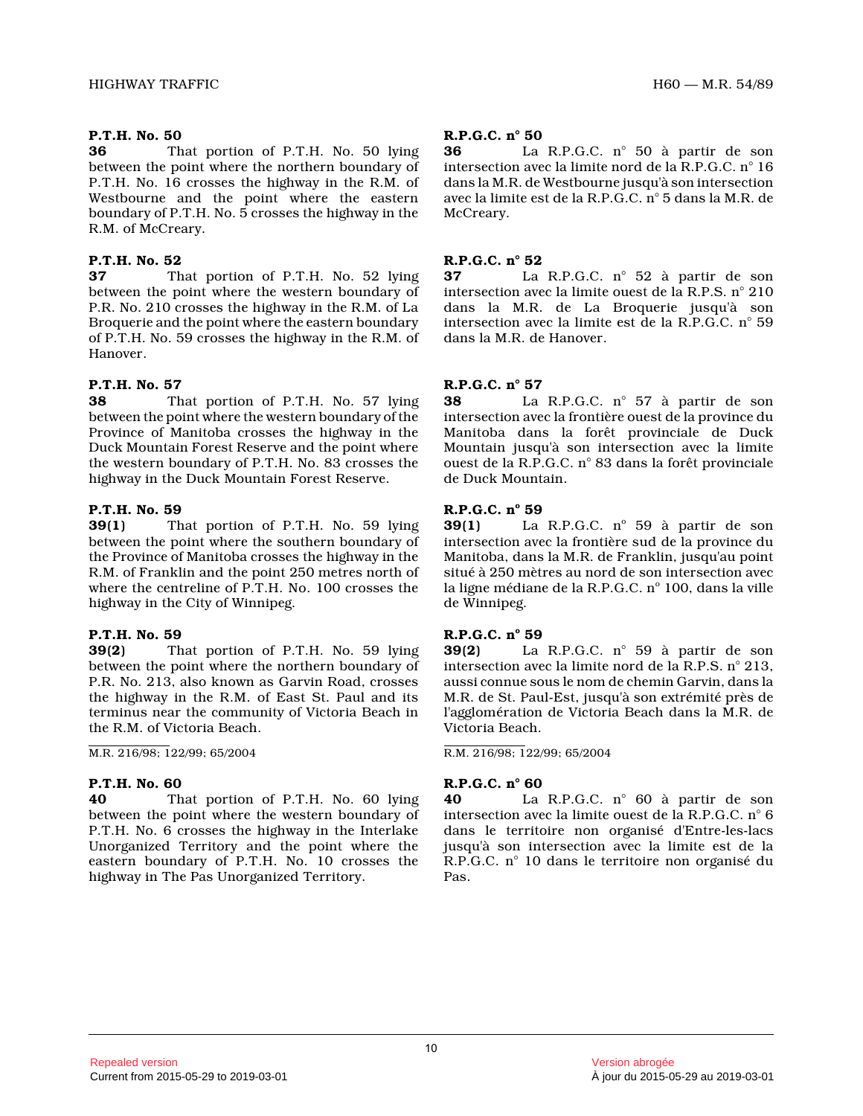**36** That portion of P.T.H. No. 50 lying between the point where the northern boundary of P.T.H. No. 16 crosses the highway in the R.M. of Westbourne and the point where the eastern boundary of P.T.H. No. 5 crosses the highway in the R.M. of McCreary.

# **P.T.H. No. 52**

**37** That portion of P.T.H. No. 52 lying between the point where the western boundary of P.R. No. 210 crosses the highway in the R.M. of La Broquerie and the point where the eastern boundary of P.T.H. No. 59 crosses the highway in the R.M. of Hanover.

# **P.T.H. No. 57**

**38** That portion of P.T.H. No. 57 lying between the point where the western boundary of the Province of Manitoba crosses the highway in the Duck Mountain Forest Reserve and the point where the western boundary of P.T.H. No. 83 crosses the highway in the Duck Mountain Forest Reserve.

# **P.T.H. No. 59**

**39(1)** That portion of P.T.H. No. 59 lying between the point where the southern boundary of the Province of Manitoba crosses the highway in the R.M. of Franklin and the point 250 metres north of where the centreline of P.T.H. No. 100 crosses the highway in the City of Winnipeg.

## **P.T.H. No. 59**

**39(2)** That portion of P.T.H. No. 59 lying between the point where the northern boundary of P.R. No. 213, also known as Garvin Road, crosses the highway in the R.M. of East St. Paul and its terminus near the community of Victoria Beach in the R.M. of Victoria Beach.

M.R. 216/98; 122/99; 65/2004

## **P.T.H. No. 60**

**40** That portion of P.T.H. No. 60 lying between the point where the western boundary of P.T.H. No. 6 crosses the highway in the Interlake Unorganized Territory and the point where the eastern boundary of P.T.H. No. 10 crosses the highway in The Pas Unorganized Territory.

# **R.P.G.C. n° 50**

**36** La R.P.G.C. n° 50 à partir de son intersection avec la limite nord de la R.P.G.C. n° 16 dans la M.R. de Westbourne jusqu'à son intersection avec la limite est de la R.P.G.C. n° 5 dans la M.R. de McCreary.

# **R.P.G.C. n° 52**

**37** La R.P.G.C. n° 52 à partir de son intersection avec la limite ouest de la R.P.S. n° 210 dans la M.R. de La Broquerie jusqu'à son intersection avec la limite est de la R.P.G.C. n° 5 9 dans la M.R. de Hanover.

# **R.P.G.C. n° 57**

**38** La R.P.G.C. n° 57 à partir de son intersection avec la frontière ouest de la province du Manitoba dans la forêt provinciale de Duck Mountain jusqu'à son intersection avec la limite ouest de la R.P.G.C. n° 83 dans la forêt provincial e de Duck Mountain.

# **R.P.G.C. n o 59**

**39(1)** La R.P.G.C. n<sup>o</sup> 59 à partir de son intersection avec la frontière sud de la province d u Manitoba, dans la M.R. de Franklin, jusqu'au point situé à 250 mètres au nord de son intersection avec la ligne médiane de la R.P.G.C. nº 100, dans la ville de Winnipeg.

# **R.P.G.C. n o 59**

**39(2)** La R.P.G.C. n° 59 à partir de son intersection avec la limite nord de la R.P.S. n° 213, aussi connue sous le nom de chemin Garvin, dans la M.R. de St. Paul-Est, jusqu'à son extrémité près de l'agglomération de Victoria Beach dans la M.R. de Victoria Beach.

R.M. 216/98; 122/99; 65/2004

## **R.P.G.C. n° 60**

**40** La R.P.G.C. n° 60 à partir de son intersection avec la limite ouest de la R.P.G.C. n° 6 dans le territoire non organisé d'Entre-les-lacs jusqu'à son intersection avec la limite est de la R.P.G.C. n° 10 dans le territoire non organisé du Pas.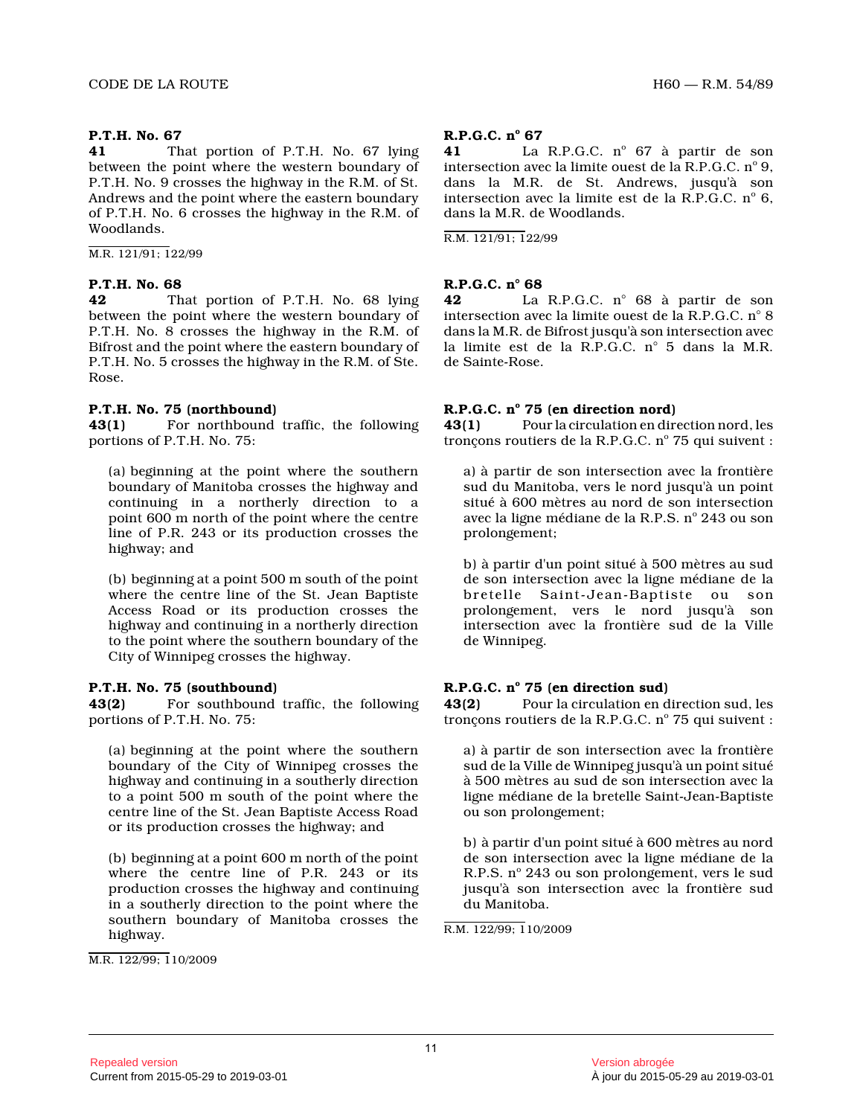**41** That portion of P.T.H. No. 67 lying between the point where the western boundary of P.T.H. No. 9 crosses the highway in the R.M. of St. Andrews and the point where the eastern boundary of P.T.H. No. 6 crosses the highway in the R.M. of Woodlands.

#### M.R. 121/91; 122/99

#### **P.T.H. No. 68**

**42** That portion of P.T.H. No. 68 lying between the point where the western boundary of P.T.H. No. 8 crosses the highway in the R.M. of Bifrost and the point where the eastern boundary of P.T.H. No. 5 crosses the highway in the R.M. of Ste . Rose.

#### **P.T.H. No. 75 (northbound)**

**43(1)** For northbound traffic, the following portions of P.T.H. No. 75:

(a) beginning at the point where the southern boundary of Manitoba crosses the highway and continuing in a northerly direction to a point 600 m north of the point where the centre line of P.R. 243 or its production crosses the highway; and

(b) beginning at a point 500 m south of the point where the centre line of the St. Jean Baptiste Access Road or its production crosses the highway and continuing in a northerly direction to the point where the southern boundary of the City of Winnipeg crosses the highway.

#### **P.T.H. No. 75 (southbound)**

**43(2)** For southbound traffic, the following portions of P.T.H. No. 75:

(a) beginning at the point where the southern boundary of the City of Winnipeg crosses the highway and continuing in a southerly direction to a point 500 m south of the point where the centre line of the St. Jean Baptiste Access Road or its production crosses the highway; and

(b) beginning at a point 600 m north of the point where the centre line of P.R. 243 or its production crosses the highway and continuing in a southerly direction to the point where the southern boundary of Manitoba crosses the highway.

M.R. 122/99; 110/2009

# **R.P.G.C. n o 67**

**41** La R.P.G.C. n o 67 à partir de son intersection avec la limite ouest de la R.P.G.C.  $n^{\circ}$  9, dans la M.R. de St. Andrews, jusqu'à son intersection avec la limite est de la R.P.G.C.  $n^{\circ}$  6, dans la M.R. de Woodlands.

R.M. 121/91; 122/99

#### **R.P.G.C. n° 68**

**42** La R.P.G.C. n° 68 à partir de son intersection avec la limite ouest de la R.P.G.C. n° 8 dans la M.R. de Bifrost jusqu'à son intersection avec la limite est de la R.P.G.C. n° 5 dans la M.R. de Sainte-Rose.

#### **R.P.G.C. n o 75 (en direction nord)**

**43(1)** Pour la circulation en direction nord, les tronçons routiers de la R.P.G.C. nº 75 qui suivent :

a) à partir de son intersection avec la frontière sud du Manitoba, vers le nord jusqu'à un point situé à 600 mètres au nord de son intersection avec la ligne médiane de la R.P.S. nº 243 ou son prolongement;

b) à partir d'un point situé à 500 mètres au sud de son intersection avec la ligne médiane de la bretelle Saint-Jean-Baptiste ou son prolongement, vers le nord jusqu'à son intersection avec la frontière sud de la Ville de Winnipeg.

# **R.P.G.C. n o 75 (en direction sud)**

**43(2)** Pour la circulation en direction sud, les tronçons routiers de la R.P.G.C. nº 75 qui suivent :

a) à partir de son intersection avec la frontière sud de la Ville de Winnipeg jusqu'à un point situé à 500 mètres au sud de son intersection avec la ligne médiane de la bretelle Saint-Jean-Baptiste ou son prolongement;

b) à partir d'un point situé à 600 mètres au nord de son intersection avec la ligne médiane de la R.P.S. nº 243 ou son prolongement, vers le sud jusqu'à son intersection avec la frontière sud du Manitoba.

R.M. 122/99; 110/2009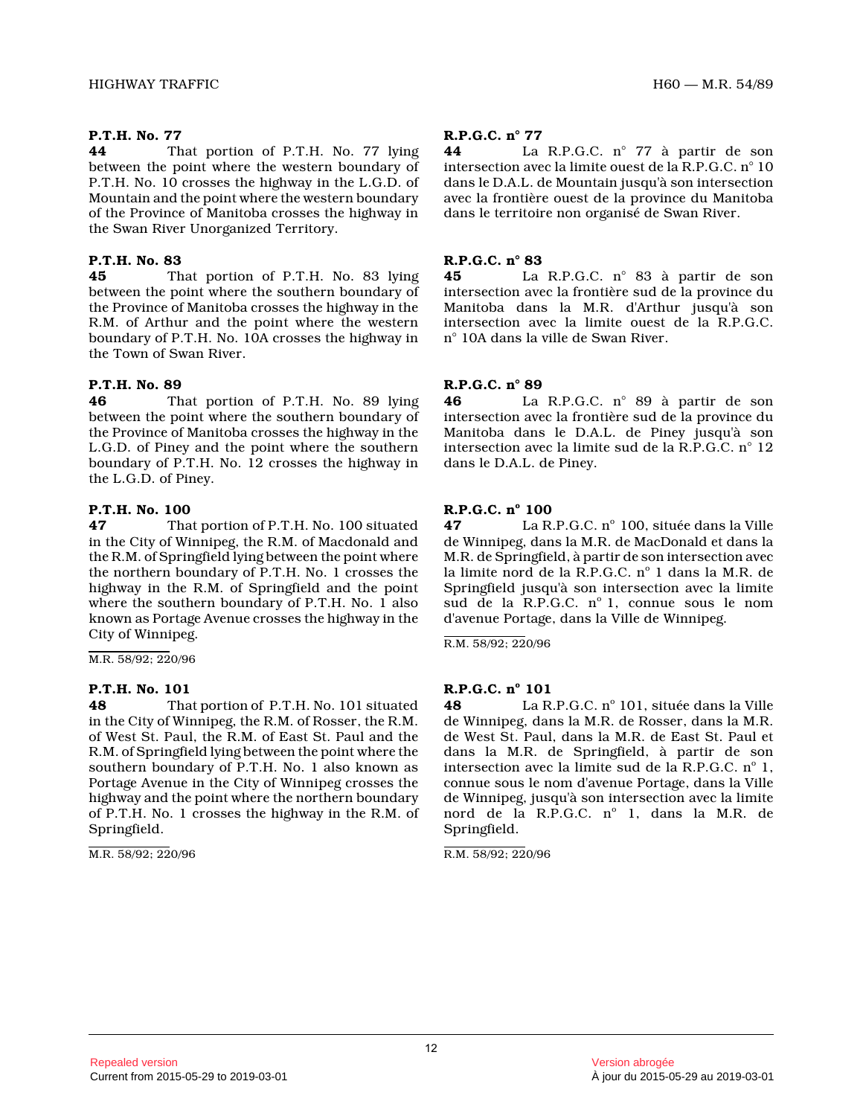**44** That portion of P.T.H. No. 77 lying between the point where the western boundary of P.T.H. No. 10 crosses the highway in the L.G.D. of Mountain and the point where the western boundary of the Province of Manitoba crosses the highway in the Swan River Unorganized Territory.

## **P.T.H. No. 83**

**45** That portion of P.T.H. No. 83 lying between the point where the southern boundary of the Province of Manitoba crosses the highway in the R.M. of Arthur and the point where the western boundary of P.T.H. No. 10A crosses the highway in the Town of Swan River.

## **P.T.H. No. 89**

**46** That portion of P.T.H. No. 89 lying between the point where the southern boundary of the Province of Manitoba crosses the highway in the L.G.D. of Piney and the point where the southern boundary of P.T.H. No. 12 crosses the highway in the L.G.D. of Piney.

# **P.T.H. No. 100**<br>47 Tha

**47** That portion of P.T.H. No. 100 situated in the City of Winnipeg, the R.M. of Macdonald and the R.M. of Springfield lying between the point where the northern boundary of P.T.H. No. 1 crosses the highway in the R.M. of Springfield and the point where the southern boundary of P.T.H. No. 1 also known as Portage Avenue crosses the highway in the City of Winnipeg.

M.R. 58/92; 220/96

## **P.T.H. No. 101**

**48** That portion of P.T.H. No. 101 situated in the City of Winnipeg, the R.M. of Rosser, the R.M. of West St. Paul, the R.M. of East St. Paul and the R.M. of Springfield lying between the point where the southern boundary of P.T.H. No. 1 also known as Portage Avenue in the City of Winnipeg crosses the highway and the point where the northern boundary of P.T.H. No. 1 crosses the highway in the R.M. of Springfield.

M.R. 58/92; 220/96

#### **R.P.G.C. n° 77**

**44** La R.P.G.C. n° 77 à partir de son intersection avec la limite ouest de la R.P.G.C. n° 10 dans le D.A.L. de Mountain jusqu'à son intersection avec la frontière ouest de la province du Manitoba dans le territoire non organisé de Swan River.

## **R.P.G.C. n° 83**

**45** La R.P.G.C. n° 83 à partir de son intersection avec la frontière sud de la province d u Manitoba dans la M.R. d'Arthur jusqu'à son intersection avec la limite ouest de la R.P.G.C. n° 10A dans la ville de Swan River.

## **R.P.G.C. n° 89**

**46** La R.P.G.C. n° 89 à partir de son intersection avec la frontière sud de la province d u Manitoba dans le D.A.L. de Piney jusqu'à son intersection avec la limite sud de la R.P.G.C. n° 1 2 dans le D.A.L. de Piney.

# **R.P.G.C. n <sup>o</sup> 100**

**47** La R.P.G.C. nº 100, située dans la Ville de Winnipeg, dans la M.R. de MacDonald et dans la M.R. de Springfield, à partir de son intersection avec la limite nord de la R.P.G.C. nº 1 dans la M.R. de Springfield jusqu'à son intersection avec la limite sud de la R.P.G.C. nº 1, connue sous le nom d'avenue Portage, dans la Ville de Winnipeg.

R.M. 58/92; 220/96

# **R.P.G.C. n <sup>o</sup> 101**

**48** La R.P.G.C. n<sup>°</sup> 101, située dans la Ville de Winnipeg, dans la M.R. de Rosser, dans la M.R. de West St. Paul, dans la M.R. de East St. Paul et dans la M.R. de Springfield, à partir de son intersection avec la limite sud de la R.P.G.C. nº 1, connue sous le nom d'avenue Portage, dans la Ville de Winnipeg, jusqu'à son intersection avec la limit e nord de la R.P.G.C. nº 1, dans la M.R. de Springfield.

R.M. 58/92; 220/96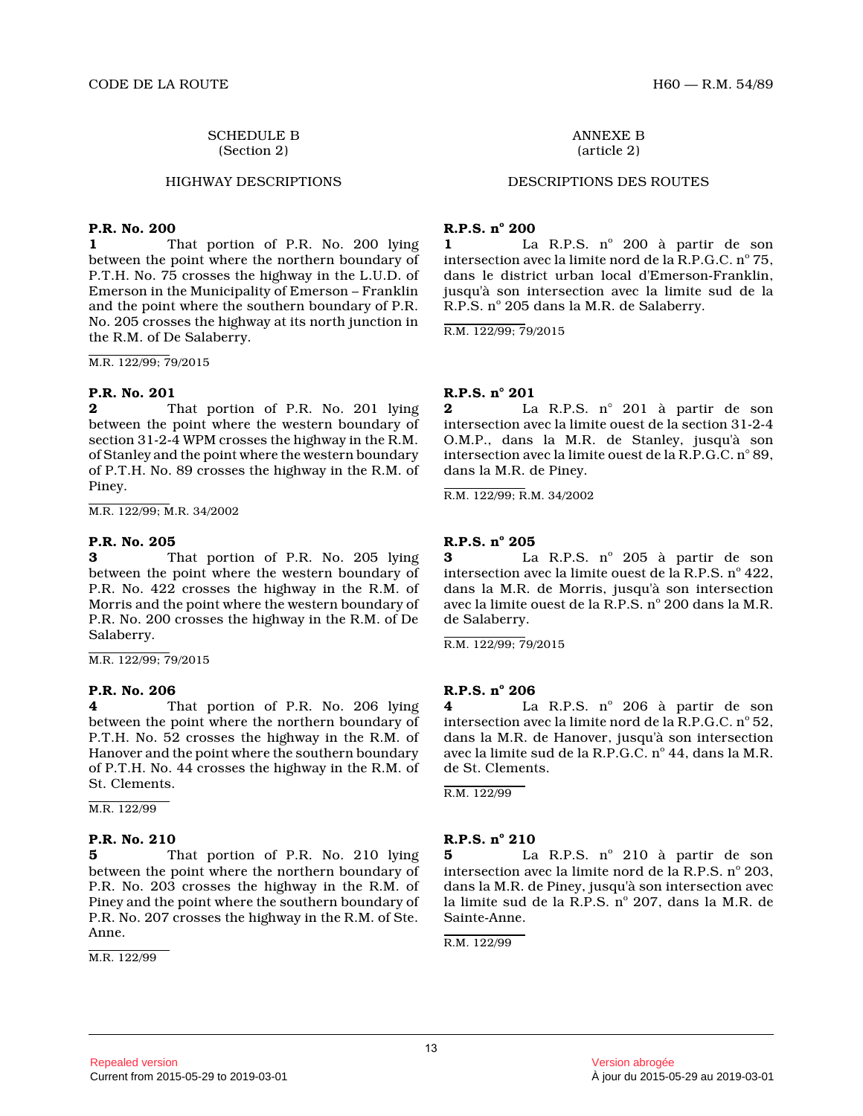#### SCHEDULE B (Section 2)

#### HIGHWAY DESCRIPTIONS

#### **P.R. No. 200**

**1** That portion of P.R. No. 200 lying between the point where the northern boundary of P.T.H. No. 75 crosses the highway in the L.U.D. of Emerson in the Municipality of Emerson – Franklin and the point where the southern boundary of P.R. No. 205 crosses the highway at its north junction i n the R.M. of De Salaberry.

M.R. 122/99; 79/2015

#### **P.R. No. 201**

**2** That portion of P.R. No. 201 lying between the point where the western boundary of section 31-2-4 WPM crosses the highway in the R.M. of Stanley and the point where the western boundary of P.T.H. No. 89 crosses the highway in the R.M. of Piney.

M.R. 122/99; M.R. 34/2002

#### **P.R. No. 205**

**3** That portion of P.R. No. 205 lying between the point where the western boundary of P.R. No. 422 crosses the highway in the R.M. of Morris and the point where the western boundary of P.R. No. 200 crosses the highway in the R.M. of De Salaberry.

#### M.R. 122/99; 79/2015

#### **P.R. No. 206**

**4** That portion of P.R. No. 206 lying between the point where the northern boundary of P.T.H. No. 52 crosses the highway in the R.M. of Hanover and the point where the southern boundary of P.T.H. No. 44 crosses the highway in the R.M. of St. Clements.

M.R. 122/99

#### **P.R. No. 210**

**5** That portion of P.R. No. 210 lying between the point where the northern boundary of P.R. No. 203 crosses the highway in the R.M. of Piney and the point where the southern boundary of P.R. No. 207 crosses the highway in the R.M. of Ste . Anne.

M.R. 122/99

ANNEXE B (article 2)

#### DESCRIPTIONS DES ROUTES

# **R.P.S. n o 200**

1 La R.P.S. nº 200 à partir de son intersection avec la limite nord de la R.P.G.C.  $n^{\circ}$  75, dans le district urban local d'Emerson-Franklin, jusqu'à son intersection avec la limite sud de la R.P.S. nº 205 dans la M.R. de Salaberry.

R.M. 122/99; 79/2015

#### **R.P.S. n° 201**

**2** La R.P.S. n° 201 à partir de son intersection avec la limite ouest de la section 31-2-4 O.M.P., dans la M.R. de Stanley, jusqu'à son intersection avec la limite ouest de la R.P.G.C. n° 89, dans la M.R. de Piney.

R.M. 122/99; R.M. 34/2002

# **R.P.S. n o 205**

**3** La R.P.S. nº 205 à partir de son intersection avec la limite ouest de la R.P.S.  $n^{\circ}$  422, dans la M.R. de Morris, jusqu'à son intersection avec la limite ouest de la R.P.S. nº 200 dans la M.R. de Salaberry.

R.M. 122/99; 79/2015

#### **R.P.S. n o 206**

**4** La R.P.S. n o 206 à partir de son intersection avec la limite nord de la R.P.G.C.  $n^{\circ}$  52, dans la M.R. de Hanover, jusqu'à son intersection avec la limite sud de la R.P.G.C. nº 44, dans la M.R. de St. Clements.

R.M. 122/99

#### **R.P.S. n o 210**

**5** La R.P.S. n<sup>o</sup> 210 à partir de son intersection avec la limite nord de la R.P.S.  $n^{\circ}$  203, dans la M.R. de Piney, jusqu'à son intersection ave c la limite sud de la R.P.S. nº 207, dans la M.R. de Sainte-Anne.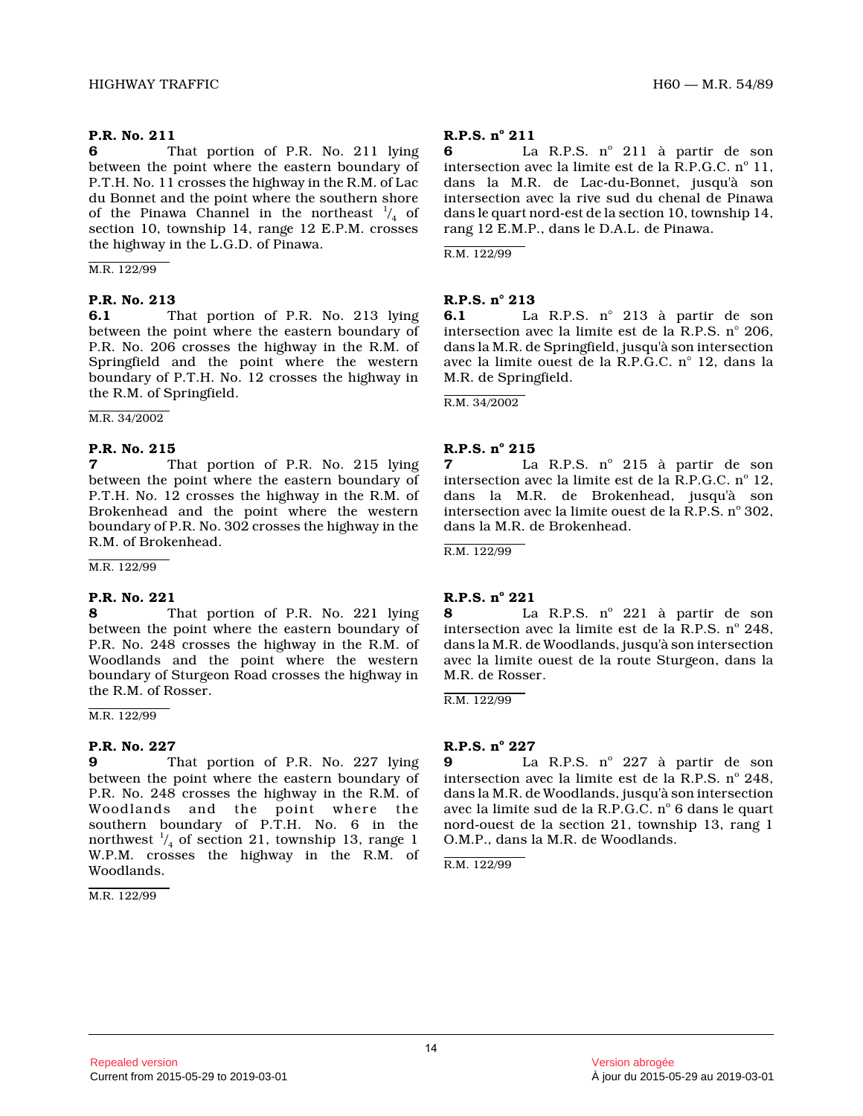**6** That portion of P.R. No. 211 lying between the point where the eastern boundary of P.T.H. No. 11 crosses the highway in the R.M. of La c du Bonnet and the point where the southern shore of the Pinawa Channel in the northeast  $\frac{1}{4}$  of section 10, township 14, range 12 E.P.M. crosses the highway in the L.G.D. of Pinawa.

M.R. 122/99

#### **P.R. No. 213**

**6.1** That portion of P.R. No. 213 lying between the point where the eastern boundary of P.R. No. 206 crosses the highway in the R.M. of Springfield and the point where the western boundary of P.T.H. No. 12 crosses the highway in the R.M. of Springfield.

M.R. 34/2002

#### **P.R. No. 215**

**7** That portion of P.R. No. 215 lying between the point where the eastern boundary of P.T.H. No. 12 crosses the highway in the R.M. of Brokenhead and the point where the western boundary of P.R. No. 302 crosses the highway in the R.M. of Brokenhead.

M.R. 122/99

#### **P.R. No. 221**

**8** That portion of P.R. No. 221 lying between the point where the eastern boundary of P.R. No. 248 crosses the highway in the R.M. of Woodlands and the point where the western boundary of Sturgeon Road crosses the highway in the R.M. of Rosser.

M.R. 122/99

# **P.R. No. 227**

**9** That portion of P.R. No. 227 lying between the point where the eastern boundary of P.R. No. 248 crosses the highway in the R.M. of Woodlands and the point where the southern boundary of P.T.H. No. 6 in the northwest  $\frac{1}{4}$  of section 21, township 13, range 1 W.P.M. crosses the highway in the R.M. of Woodlands.

M.R. 122/99

# **R.P.S. n o 211**

**6** La R.P.S. n<sup>o</sup> 211 à partir de son intersection avec la limite est de la R.P.G.C.  $n^{\circ}$  11, dans la M.R. de Lac-du-Bonnet, jusqu'à son intersection avec la rive sud du chenal de Pinawa dans le quart nord-est de la section 10, township 14, rang 12 E.M.P., dans le D.A.L. de Pinawa.

R.M. 122/99

## **R.P.S. n° 213**

**6.1** La R.P.S. n° 213 à partir de son intersection avec la limite est de la R.P.S. n° 206 , dans la M.R. de Springfield, jusqu'à son intersection avec la limite ouest de la R.P.G.C. n° 12, dans la M.R. de Springfield.

R.M. 34/2002

# **R.P.S. n o 215**

**7** La R.P.S. nº 215 à partir de son intersection avec la limite est de la R.P.G.C.  $n^{\circ}$  12, dans la M.R. de Brokenhead, jusqu'à son intersection avec la limite ouest de la R.P.S.  $n^{\circ}$  302, dans la M.R. de Brokenhead.

R.M. 122/99

# **R.P.S. n o 221**

**8** La R.P.S. n<sup>o</sup> 221 à partir de son intersection avec la limite est de la R.P.S.  $n^{\circ}$  248, dans la M.R. de Woodlands, jusqu'à son intersection avec la limite ouest de la route Sturgeon, dans la M.R. de Rosser.

R.M. 122/99

# **R.P.S. n o 227**

**9** La R.P.S. n o 227 à partir de son intersection avec la limite est de la R.P.S.  $n^{\circ}$  248, dans la M.R. de Woodlands, jusqu'à son intersection avec la limite sud de la R.P.G.C. nº 6 dans le quart nord-ouest de la section 21, township 13, rang 1 O.M.P., dans la M.R. de Woodlands.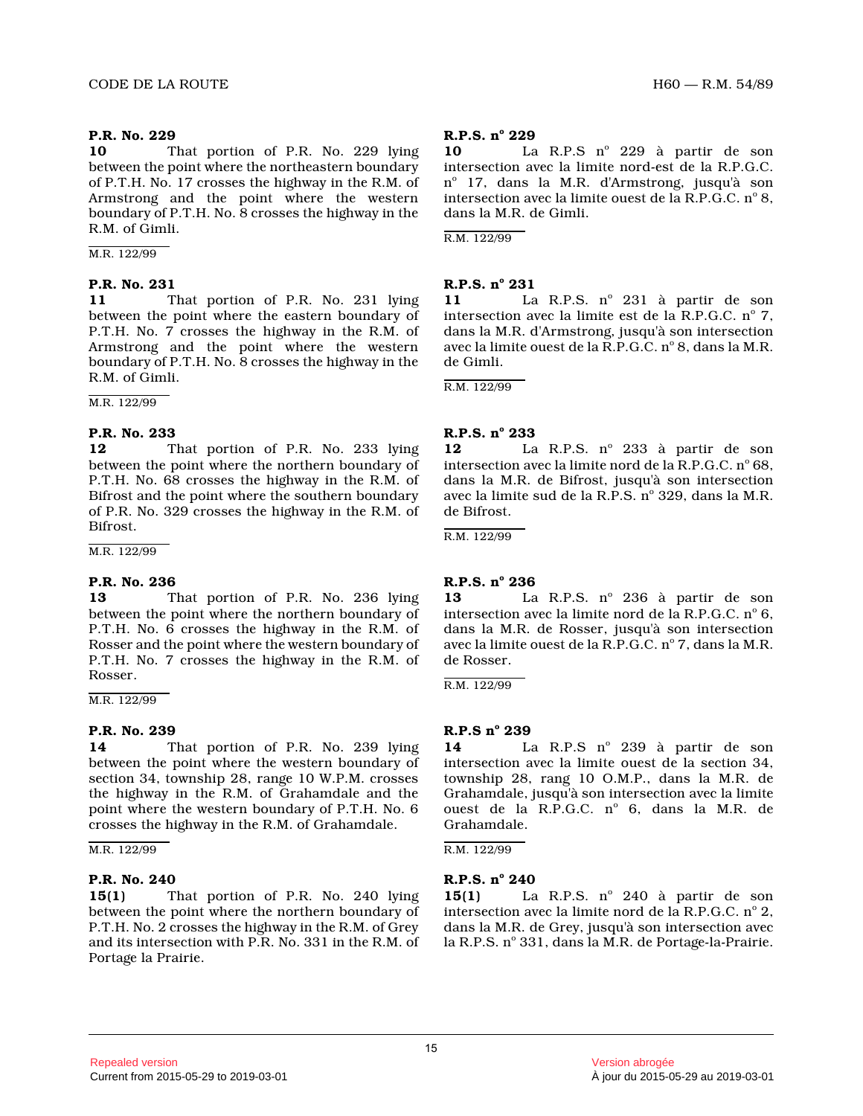**10** That portion of P.R. No. 229 lying between the point where the northeastern boundary of P.T.H. No. 17 crosses the highway in the R.M. of Armstrong and the point where the western boundary of P.T.H. No. 8 crosses the highway in the R.M. of Gimli.

M.R. 122/99

#### **P.R. No. 231**

**11** That portion of P.R. No. 231 lying between the point where the eastern boundary of P.T.H. No. 7 crosses the highway in the R.M. of Armstrong and the point where the western boundary of P.T.H. No. 8 crosses the highway in the R.M. of Gimli.

M.R. 122/99

#### **P.R. No. 233**

**12** That portion of P.R. No. 233 lying between the point where the northern boundary of P.T.H. No. 68 crosses the highway in the R.M. of Bifrost and the point where the southern boundary of P.R. No. 329 crosses the highway in the R.M. of Bifrost.

M.R. 122/99

## **P.R. No. 236**

**13** That portion of P.R. No. 236 lying between the point where the northern boundary of P.T.H. No. 6 crosses the highway in the R.M. of Rosser and the point where the western boundary of P.T.H. No. 7 crosses the highway in the R.M. of Rosser.

M.R. 122/99

## **P.R. No. 239**

**14** That portion of P.R. No. 239 lying between the point where the western boundary of section 34, township 28, range 10 W.P.M. crosses the highway in the R.M. of Grahamdale and the point where the western boundary of P.T.H. No. 6 crosses the highway in the R.M. of Grahamdale.

#### M.R. 122/99

# **P.R. No. 240**

**15(1)** That portion of P.R. No. 240 lying between the point where the northern boundary of P.T.H. No. 2 crosses the highway in the R.M. of Gre y and its intersection with P.R. No. 331 in the R.M. of Portage la Prairie.

# **R.P.S. n o 229**

10 La R.P.S nº 229 à partir de son intersection avec la limite nord-est de la R.P.G.C. nº 17, dans la M.R. d'Armstrong, jusqu'à son intersection avec la limite ouest de la R.P.G.C.  $n^{\circ}$  8, dans la M.R. de Gimli.

R.M. 122/99

# **R.P.S. n o 231**

11 La R.P.S. nº 231 à partir de son intersection avec la limite est de la R.P.G.C. nº 7, dans la M.R. d'Armstrong, jusqu'à son intersection avec la limite ouest de la  $\bar{\mathrm{R}}$ .P.G.C.  $\mathrm{n}^{\circ}$  8, dans la M.R. de Gimli.

R.M. 122/99

# **R.P.S. n o 233**

12 La R.P.S. nº 233 à partir de son intersection avec la limite nord de la R.P.G.C.  $n^{\circ}$  68, dans la M.R. de Bifrost, jusqu'à son intersection avec la limite sud de la R.P.S. nº 329, dans la M.R. de Bifrost.

R.M. 122/99

# **R.P.S. n o 236**

13 La R.P.S. nº 236 à partir de son intersection avec la limite nord de la R.P.G.C.  $n^{\circ}$  6, dans la M.R. de Rosser, jusqu'à son intersection avec la limite ouest de la R.P.G.C. nº 7, dans la M.R. de Rosser.

R.M. 122/99

# **R.P.S n o 239**

14 La R.P.S nº 239 à partir de son intersection avec la limite ouest de la section 34, township 28, rang 10 O.M.P., dans la M.R. de Grahamdale, jusqu'à son intersection avec la limite ouest de la R.P.G.C. nº 6, dans la M.R. de Grahamdale.

R.M. 122/99

# **R.P.S. n o 240**

**15(1)** La R.P.S. nº 240 à partir de son intersection avec la limite nord de la R.P.G.C.  $n^{\circ}$  2, dans la M.R. de Grey, jusqu'à son intersection avec la R.P.S. nº 331, dans la M.R. de Portage-la-Prairie.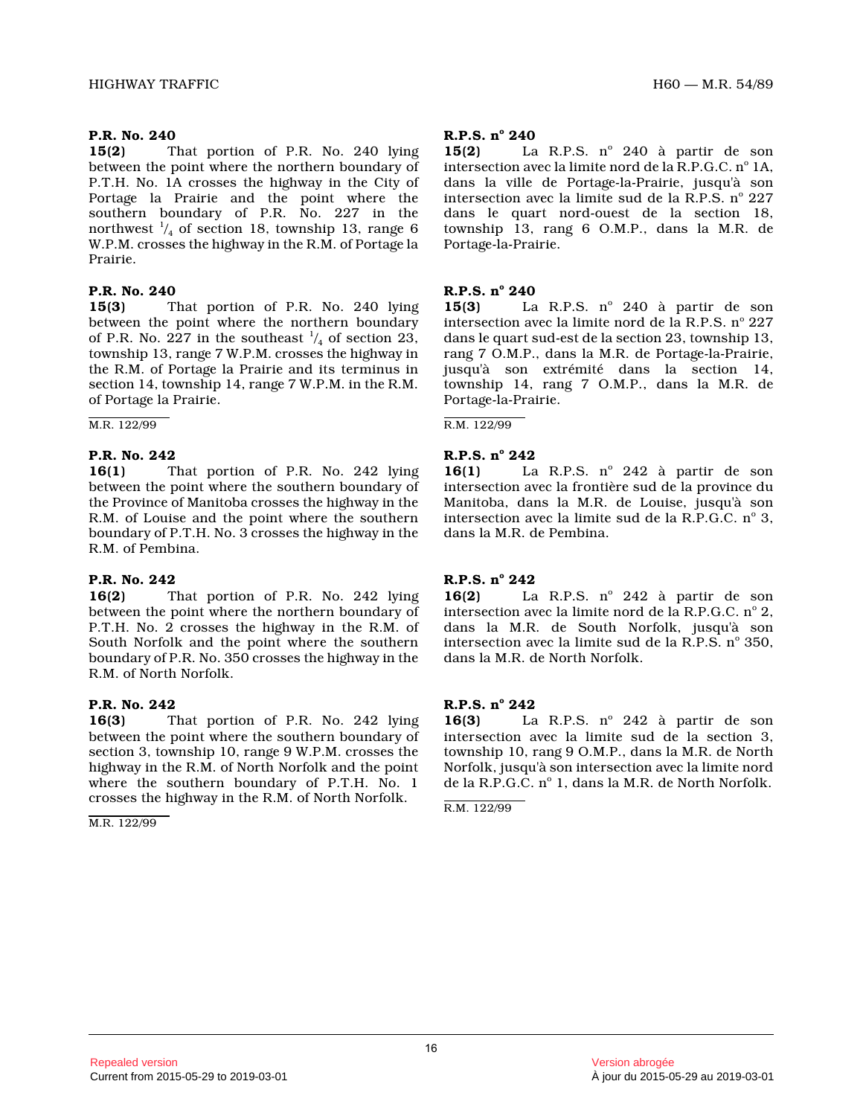**15(2)** That portion of P.R. No. 240 lying between the point where the northern boundary of P.T.H. No. 1A crosses the highway in the City of Portage la Prairie and the point where the southern boundary of P.R. No. 227 in the northwest  $\frac{1}{4}$  of section 18, township 13, range 6 W.P.M. crosses the highway in the R.M. of Portage l a Prairie.

## **P.R. No. 240**

**15(3)** That portion of P.R. No. 240 lying between the point where the northern boundary of P.R. No. 227 in the southeast  $\frac{1}{4}$  of section 23, township 13, range 7 W.P.M. crosses the highway in the R.M. of Portage la Prairie and its terminus in section 14, township 14, range 7 W.P.M. in the R.M. of Portage la Prairie.

M.R. 122/99

#### **P.R. No. 242**

**16(1)** That portion of P.R. No. 242 lying between the point where the southern boundary of the Province of Manitoba crosses the highway in the R.M. of Louise and the point where the southern boundary of P.T.H. No. 3 crosses the highway in the R.M. of Pembina.

## **P.R. No. 242**

**16(2)** That portion of P.R. No. 242 lying between the point where the northern boundary of P.T.H. No. 2 crosses the highway in the R.M. of South Norfolk and the point where the southern boundary of P.R. No. 350 crosses the highway in the R.M. of North Norfolk.

## **P.R. No. 242**

**16(3)** That portion of P.R. No. 242 lying between the point where the southern boundary of section 3, township 10, range 9 W.P.M. crosses the highway in the R.M. of North Norfolk and the point where the southern boundary of P.T.H. No. 1 crosses the highway in the R.M. of North Norfolk.

M.R. 122/99

# **R.P.S. n o 240**

**15(2)** La R.P.S. nº 240 à partir de son intersection avec la limite nord de la R.P.G.C.  $n^{\circ}$  1A, dans la ville de Portage-la-Prairie, jusqu'à son intersection avec la limite sud de la R.P.S.  $n^{\circ}$  227 dans le quart nord-ouest de la section 18, township 13, rang 6 O.M.P., dans la M.R. de Portage-la-Prairie.

# **R.P.S. n o 240**

**15(3)** La R.P.S. nº 240 à partir de son intersection avec la limite nord de la R.P.S.  $n^{\circ}$  227 dans le quart sud-est de la section 23, township 13 , rang 7 O.M.P., dans la M.R. de Portage-la-Prairie, jusqu'à son extrémité dans la section 14, township 14, rang 7 O.M.P., dans la M.R. de Portage-la-Prairie.

R.M. 122/99

# **R.P.S. n o 242**

**16(1)** La R.P.S. nº 242 à partir de son intersection avec la frontière sud de la province d u Manitoba, dans la M.R. de Louise, jusqu'à son intersection avec la limite sud de la R.P.G.C.  $n^{\circ}$  3, dans la M.R. de Pembina.

# **R.P.S. n o 242**

**16(2)** La R.P.S. nº 242 à partir de son intersection avec la limite nord de la R.P.G.C.  $n^{\circ}$  2, dans la M.R. de South Norfolk, jusqu'à son intersection avec la limite sud de la R.P.S.  $n^{\circ}$  350, dans la M.R. de North Norfolk.

# **R.P.S. n o 242**

16(3) La R.P.S. nº 242 à partir de son intersection avec la limite sud de la section 3, township 10, rang 9 O.M.P., dans la M.R. de North Norfolk, jusqu'à son intersection avec la limite nord de la R.P.G.C. nº 1, dans la M.R. de North Norfolk.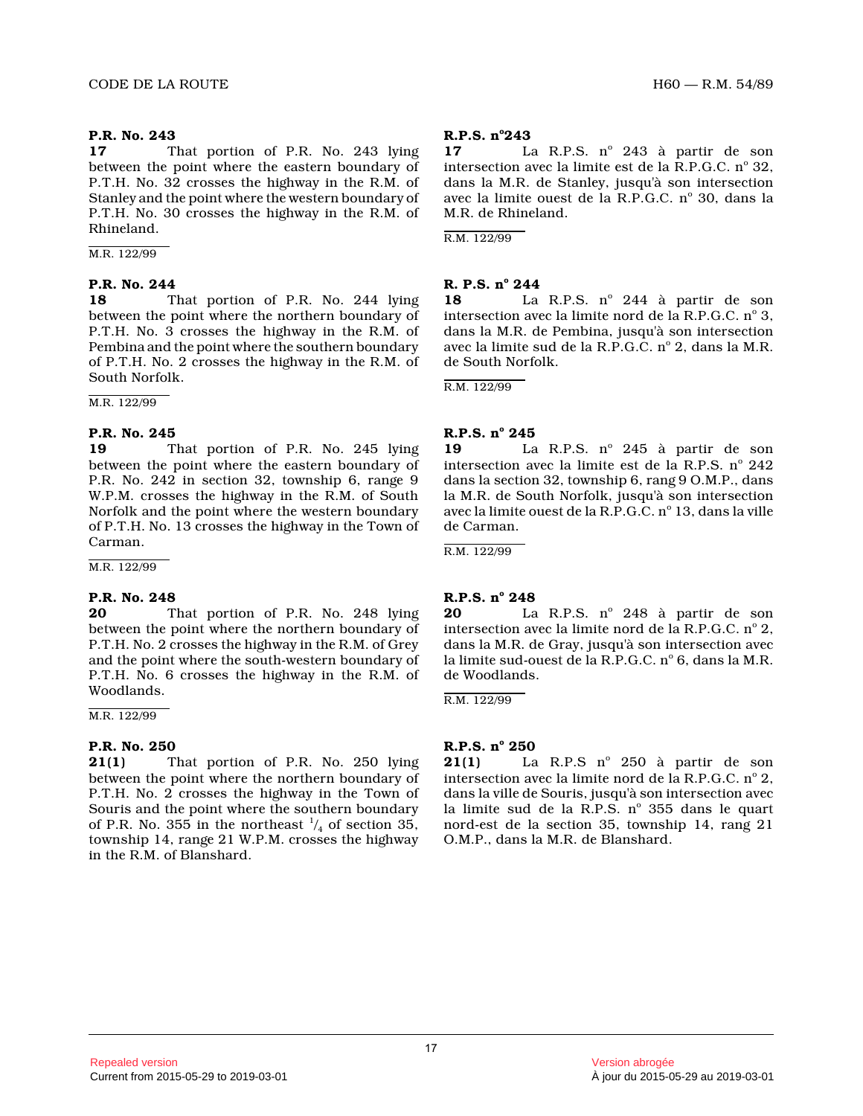**17** That portion of P.R. No. 243 lying between the point where the eastern boundary of P.T.H. No. 32 crosses the highway in the R.M. of Stanley and the point where the western boundary of P.T.H. No. 30 crosses the highway in the R.M. of Rhineland.

M.R. 122/99

#### **P.R. No. 244**

**18** That portion of P.R. No. 244 lying between the point where the northern boundary of P.T.H. No. 3 crosses the highway in the R.M. of Pembina and the point where the southern boundary of P.T.H. No. 2 crosses the highway in the R.M. of South Norfolk.

M.R. 122/99

#### **P.R. No. 245**

**19** That portion of P.R. No. 245 lying between the point where the eastern boundary of P.R. No. 242 in section 32, township 6, range 9 W.P.M. crosses the highway in the R.M. of South Norfolk and the point where the western boundary of P.T.H. No. 13 crosses the highway in the Town of Carman.

M.R. 122/99

#### **P.R. No. 248**

**20** That portion of P.R. No. 248 lying between the point where the northern boundary of P.T.H. No. 2 crosses the highway in the R.M. of Gre y and the point where the south-western boundary of P.T.H. No. 6 crosses the highway in the R.M. of Woodlands.

M.R. 122/99

## **P.R. No. 250**

**21(1)** That portion of P.R. No. 250 lying between the point where the northern boundary of P.T.H. No. 2 crosses the highway in the Town of Souris and the point where the southern boundary of P.R. No. 355 in the northeast  $\frac{1}{4}$  of section 35, township 14, range 21 W.P.M. crosses the highway in the R.M. of Blanshard.

# **R.P.S. n <sup>o</sup>243**

17 La R.P.S. nº 243 à partir de son intersection avec la limite est de la R.P.G.C.  $n^{\circ}$  32, dans la M.R. de Stanley, jusqu'à son intersection avec la limite ouest de la R.P.G.C. nº 30, dans la M.R. de Rhineland.

R.M. 122/99

# **R. P.S. n o 244**

18 La R.P.S. nº 244 à partir de son intersection avec la limite nord de la R.P.G.C.  $n^{\circ}$  3, dans la M.R. de Pembina, jusqu'à son intersection avec la limite sud de la R.P.G.C. nº 2, dans la M.R. de South Norfolk.

R.M. 122/99

# **R.P.S. n o 245**

19 La R.P.S. nº 245 à partir de son intersection avec la limite est de la R.P.S.  $n^{\circ}$  242 dans la section 32, township 6, rang 9 O.M.P., dans la M.R. de South Norfolk, jusqu'à son intersection avec la limite ouest de la R.P.G.C. nº 13, dans la ville de Carman.

R.M. 122/99

# **R.P.S. n o 248**

**20** La R.P.S. n o 248 à partir de son intersection avec la limite nord de la R.P.G.C.  $n^{\circ}$  2, dans la M.R. de Gray, jusqu'à son intersection avec la limite sud-ouest de la R.P.G.C.  $n^{\circ}$  6, dans la M.R. de Woodlands.

R.M. 122/99

## **R.P.S. n o 250**

**21(1)** La R.P.S n° 250 à partir de son intersection avec la limite nord de la R.P.G.C.  $n^{\circ}$  2, dans la ville de Souris, jusqu'à son intersection avec la limite sud de la R.P.S.  $n^{\circ}$  355 dans le quart nord-est de la section 35, township 14, rang 21 O.M.P., dans la M.R. de Blanshard.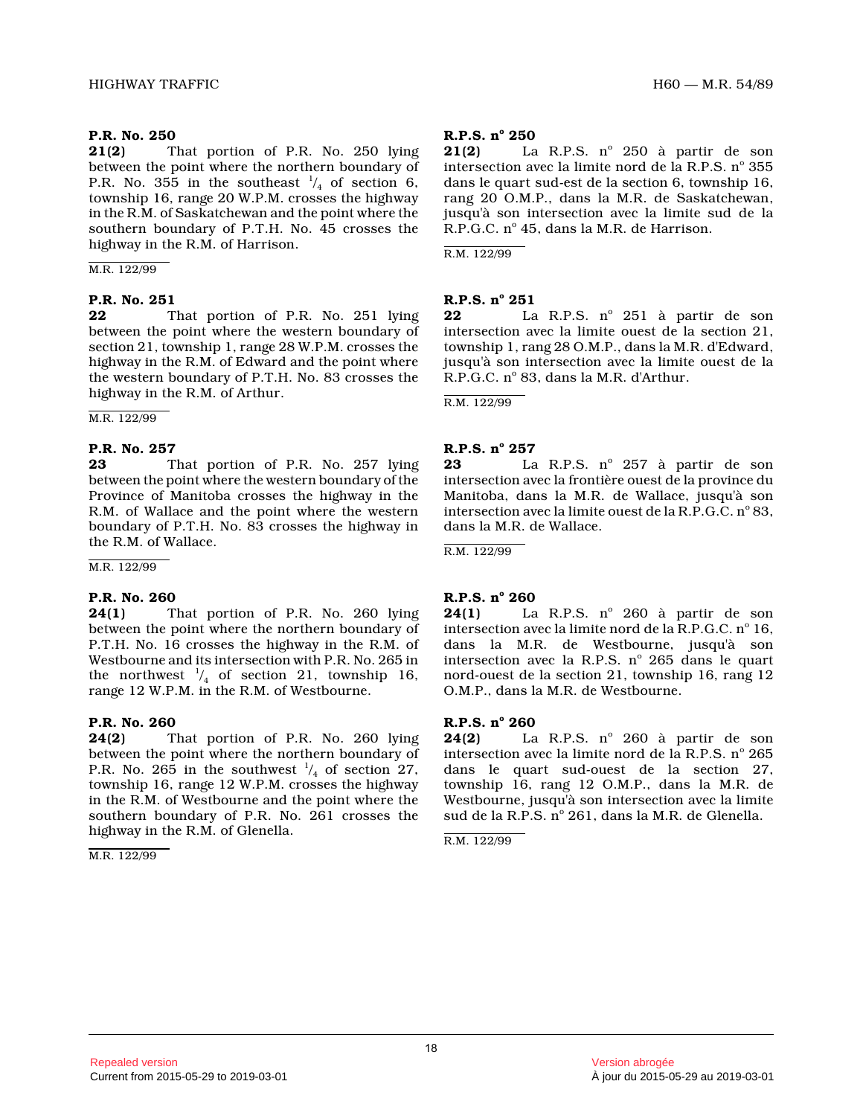**21(2)** That portion of P.R. No. 250 lying between the point where the northern boundary of P.R. No. 355 in the southeast  $\frac{1}{4}$  of section 6, township 16, range 20 W.P.M. crosses the highway in the R.M. of Saskatchewan and the point where the southern boundary of P.T.H. No. 45 crosses the highway in the R.M. of Harrison.

M.R. 122/99

#### **P.R. No. 251**

**22** That portion of P.R. No. 251 lying between the point where the western boundary of section 21, township 1, range 28 W.P.M. crosses the highway in the R.M. of Edward and the point where the western boundary of P.T.H. No. 83 crosses the highway in the R.M. of Arthur.

M.R. 122/99

#### **P.R. No. 257**

**23** That portion of P.R. No. 257 lying between the point where the western boundary of the Province of Manitoba crosses the highway in the R.M. of Wallace and the point where the western boundary of P.T.H. No. 83 crosses the highway in the R.M. of Wallace.

M.R. 122/99

#### **P.R. No. 260**

**24(1)** That portion of P.R. No. 260 lying between the point where the northern boundary of P.T.H. No. 16 crosses the highway in the R.M. of Westbourne and its intersection with P.R. No. 265 i n the northwest  $\frac{1}{4}$  of section 21, township 16, range 12 W.P.M. in the R.M. of Westbourne.

## **P.R. No. 260**

**24(2)** That portion of P.R. No. 260 lying between the point where the northern boundary of P.R. No. 265 in the southwest  $\frac{1}{4}$  of section 27, township 16, range 12 W.P.M. crosses the highway in the R.M. of Westbourne and the point where the southern boundary of P.R. No. 261 crosses the highway in the R.M. of Glenella.

M.R. 122/99

# **R.P.S. n o 250**

**21(2)** La R.P.S. n<sup>o</sup> 250 à partir de son intersection avec la limite nord de la R.P.S.  $n^{\circ}$  355 dans le quart sud-est de la section 6, township 16, rang 20 O.M.P., dans la M.R. de Saskatchewan, jusqu'à son intersection avec la limite sud de la R.P.G.C. nº 45, dans la M.R. de Harrison.

R.M. 122/99

# **R.P.S. n o 251**

**22** La R.P.S. n o 251 à partir de son intersection avec la limite ouest de la section 21, township 1, rang 28 O.M.P., dans la M.R. d'Edward, jusqu'à son intersection avec la limite ouest de la R.P.G.C. nº 83, dans la M.R. d'Arthur.

R.M. 122/99

# **R.P.S. n o 257**

**23** La R.P.S. n o 257 à partir de son intersection avec la frontière ouest de la province du Manitoba, dans la M.R. de Wallace, jusqu'à son intersection avec la limite ouest de la R.P.G.C.  $n^{\circ}$  83, dans la M.R. de Wallace.

R.M. 122/99

# **R.P.S. n o 260**

**24(1)** La R.P.S. n<sup>o</sup> 260 à partir de son intersection avec la limite nord de la R.P.G.C.  $n^{\circ}$  16, dans la M.R. de Westbourne, jusqu'à son intersection avec la R.P.S.  $n^{\circ}$  265 dans le quart nord-ouest de la section 21, township 16, rang 12 O.M.P., dans la M.R. de Westbourne.

## **R.P.S. n o 260**

**24(2)** La R.P.S. nº 260 à partir de son intersection avec la limite nord de la R.P.S.  $n^{\circ}\,265$ dans le quart sud-ouest de la section 27, township 16, rang 12 O.M.P., dans la M.R. de Westbourne, jusqu'à son intersection avec la limite sud de la R.P.S. nº 261, dans la M.R. de Glenella.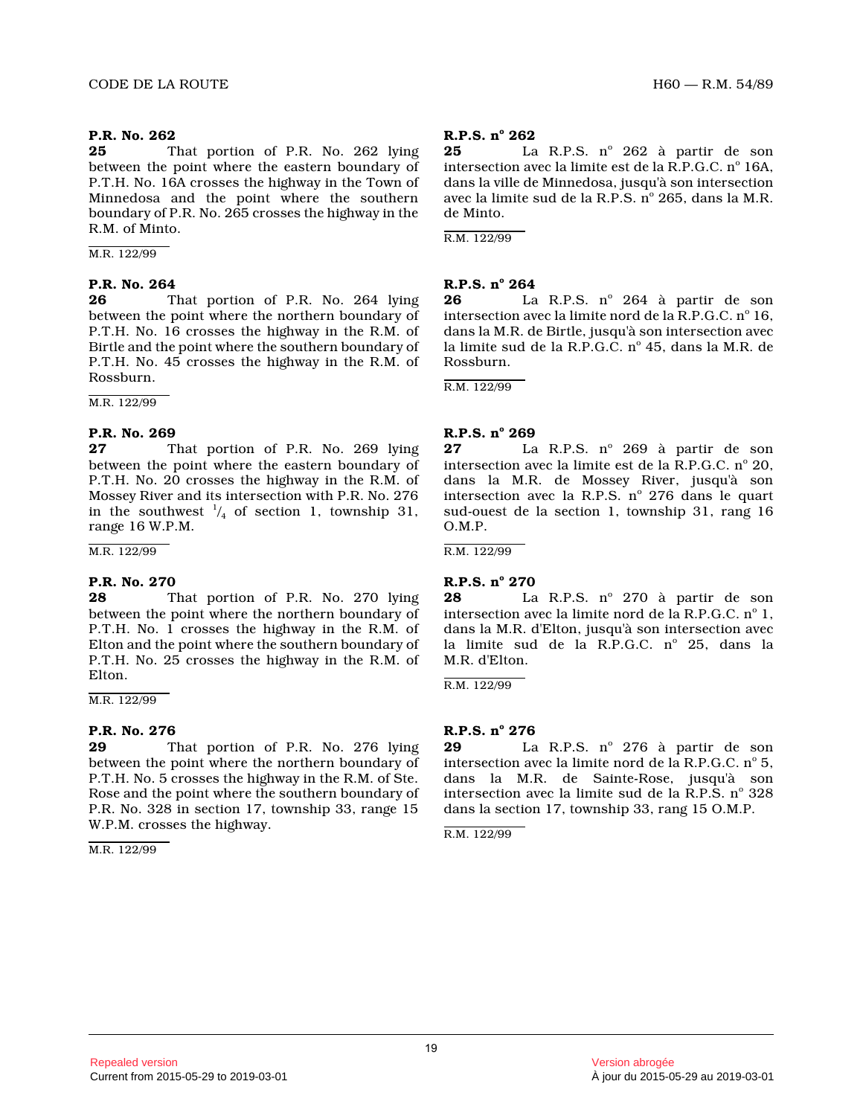**25** That portion of P.R. No. 262 lying between the point where the eastern boundary of P.T.H. No. 16A crosses the highway in the Town of Minnedosa and the point where the southern boundary of P.R. No. 265 crosses the highway in the R.M. of Minto.

M.R. 122/99

#### **P.R. No. 264**

**26** That portion of P.R. No. 264 lying between the point where the northern boundary of P.T.H. No. 16 crosses the highway in the R.M. of Birtle and the point where the southern boundary of P.T.H. No. 45 crosses the highway in the R.M. of Rossburn.

M.R. 122/99

#### **P.R. No. 269**

**27** That portion of P.R. No. 269 lying between the point where the eastern boundary of P.T.H. No. 20 crosses the highway in the R.M. of Mossey River and its intersection with P.R. No. 276 in the southwest  $\frac{1}{4}$  of section 1, township 31, range 16 W.P.M.

M.R. 122/99

## **P.R. No. 270**

**28** That portion of P.R. No. 270 lying between the point where the northern boundary of P.T.H. No. 1 crosses the highway in the R.M. of Elton and the point where the southern boundary of P.T.H. No. 25 crosses the highway in the R.M. of Elton.

M.R. 122/99

## **P.R. No. 276**

**29** That portion of P.R. No. 276 lying between the point where the northern boundary of P.T.H. No. 5 crosses the highway in the R.M. of Ste . Rose and the point where the southern boundary of P.R. No. 328 in section 17, township 33, range 15 W.P.M. crosses the highway.

M.R. 122/99

# **R.P.S. n o 262**

**25** La R.P.S. n<sup>o</sup> 262 à partir de son intersection avec la limite est de la R.P.G.C. nº 16A, dans la ville de Minnedosa, jusqu'à son intersectio n avec la limite sud de la R.P.S. nº 265, dans la M.R. de Minto.

R.M. 122/99

# **R.P.S. n o 264**

**26** La R.P.S. n<sup>o</sup> 264 à partir de son intersection avec la limite nord de la R.P.G.C.  $n^{\circ}$  16, dans la M.R. de Birtle, jusqu'à son intersection avec la limite sud de la R.P.G.C. nº 45, dans la M.R. de Rossburn.

R.M. 122/99

# **R.P.S. n o 269**

**27** La R.P.S. n o 269 à partir de son intersection avec la limite est de la R.P.G.C.  $n^{\circ}$  20, dans la M.R. de Mossey River, jusqu'à son intersection avec la R.P.S. nº 276 dans le quart sud-ouest de la section 1, township 31, rang 16 O.M.P.

R.M. 122/99

# **R.P.S. n o 270**

**28** La R.P.S. n o 270 à partir de son intersection avec la limite nord de la R.P.G.C.  $n^{\circ}$  1, dans la M.R. d'Elton, jusqu'à son intersection avec la limite sud de la R.P.G.C. nº 25, dans la M.R. d'Elton.

R.M. 122/99

# **R.P.S. n o 276**

**29** La R.P.S. n o 276 à partir de son intersection avec la limite nord de la R.P.G.C.  $n^{\circ}$  5, dans la M.R. de Sainte-Rose, jusqu'à son intersection avec la limite sud de la R.P.S.  $n^{\circ}$  328 dans la section 17, township 33, rang 15 O.M.P.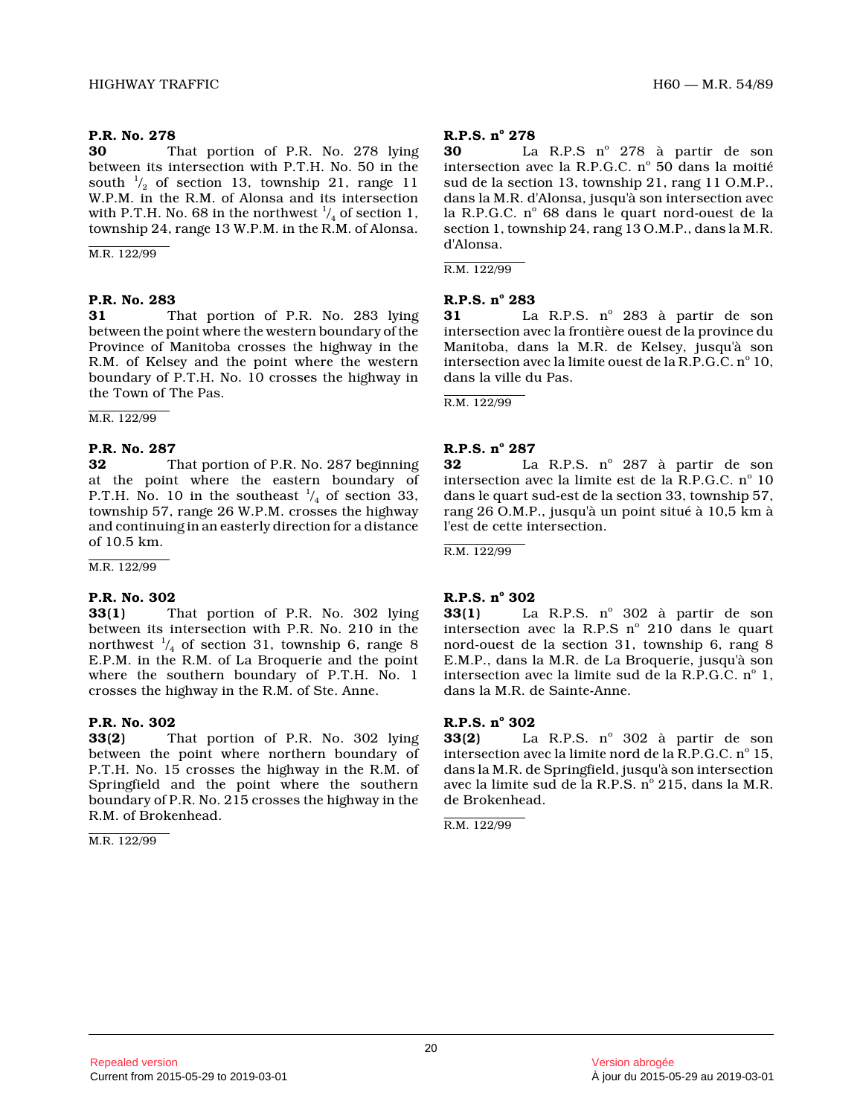**30** That portion of P.R. No. 278 lying between its intersection with P.T.H. No. 50 in the south  $\frac{1}{2}$  of section 13, township 21, range 11 W.P.M. in the R.M. of Alonsa and its intersection with P.T.H. No. 68 in the northwest  $\frac{1}{4}$  of section 1, township 24, range 13 W.P.M. in the R.M. of Alonsa.

M.R. 122/99

#### **P.R. No. 283**

**31** That portion of P.R. No. 283 lying between the point where the western boundary of the Province of Manitoba crosses the highway in the R.M. of Kelsey and the point where the western boundary of P.T.H. No. 10 crosses the highway in the Town of The Pas.

M.R. 122/99

#### **P.R. No. 287**

**32** That portion of P.R. No. 287 beginning at the point where the eastern boundary of P.T.H. No. 10 in the southeast  $\frac{1}{4}$  of section 33, township 57, range 26 W.P.M. crosses the highway and continuing in an easterly direction for a distance of 10.5 km.

M.R. 122/99

# **P.R. No. 302**

**33(1)** That portion of P.R. No. 302 lying between its intersection with P.R. No. 210 in the northwest  $\frac{1}{4}$  of section 31, township 6, range 8 E.P.M. in the R.M. of La Broquerie and the point where the southern boundary of P.T.H. No. 1 crosses the highway in the R.M. of Ste. Anne.

## **P.R. No. 302**

**33(2)** That portion of P.R. No. 302 lying between the point where northern boundary of P.T.H. No. 15 crosses the highway in the R.M. of Springfield and the point where the southern boundary of P.R. No. 215 crosses the highway in the R.M. of Brokenhead.

M.R. 122/99

### **R.P.S. n o 278**

**30** La R.P.S n o 278 à partir de son intersection avec la R.P.G.C.  $n^{\circ}$  50 dans la moitié sud de la section 13, township 21, rang 11 O.M.P., dans la M.R. d'Alonsa, jusqu'à son intersection ave c la R.P.G.C. nº 68 dans le quart nord-ouest de la section 1, township 24, rang 13 O.M.P., dans la M.R . d'Alonsa.

R.M. 122/99

#### **R.P.S. n o 283**

**31** La R.P.S. n o 283 à partir de son intersection avec la frontière ouest de la province du Manitoba, dans la M.R. de Kelsey, jusqu'à son intersection avec la limite ouest de la R.P.G.C.  $n^{\circ}$  10, dans la ville du Pas.

R.M. 122/99

# **R.P.S. n o 287**

**32** La R.P.S. n o 287 à partir de son intersection avec la limite est de la R.P.G.C. nº 10 dans le quart sud-est de la section 33, township 57 , rang 26 O.M.P., jusqu'à un point situé à 10,5 km à l'est de cette intersection.

R.M. 122/99

# **R.P.S. n o 302**

**33(1)** La R.P.S. n<sup>o</sup> 302 à partir de son intersection avec la R.P.S  $n^{\circ}$  210 dans le quart nord-ouest de la section 31, township 6, rang 8 E.M.P., dans la M.R. de La Broquerie, jusqu'à son intersection avec la limite sud de la R.P.G.C.  $n^{\circ}$  1, dans la M.R. de Sainte-Anne.

## **R.P.S. n o 302**

**33(2)** La R.P.S. nº 302 à partir de son intersection avec la limite nord de la R.P.G.C.  $\mathrm{n}^{\circ}$  15, dans la M.R. de Springfield, jusqu'à son intersection avec la limite sud de la R.P.S. nº 215, dans la M.R. de Brokenhead.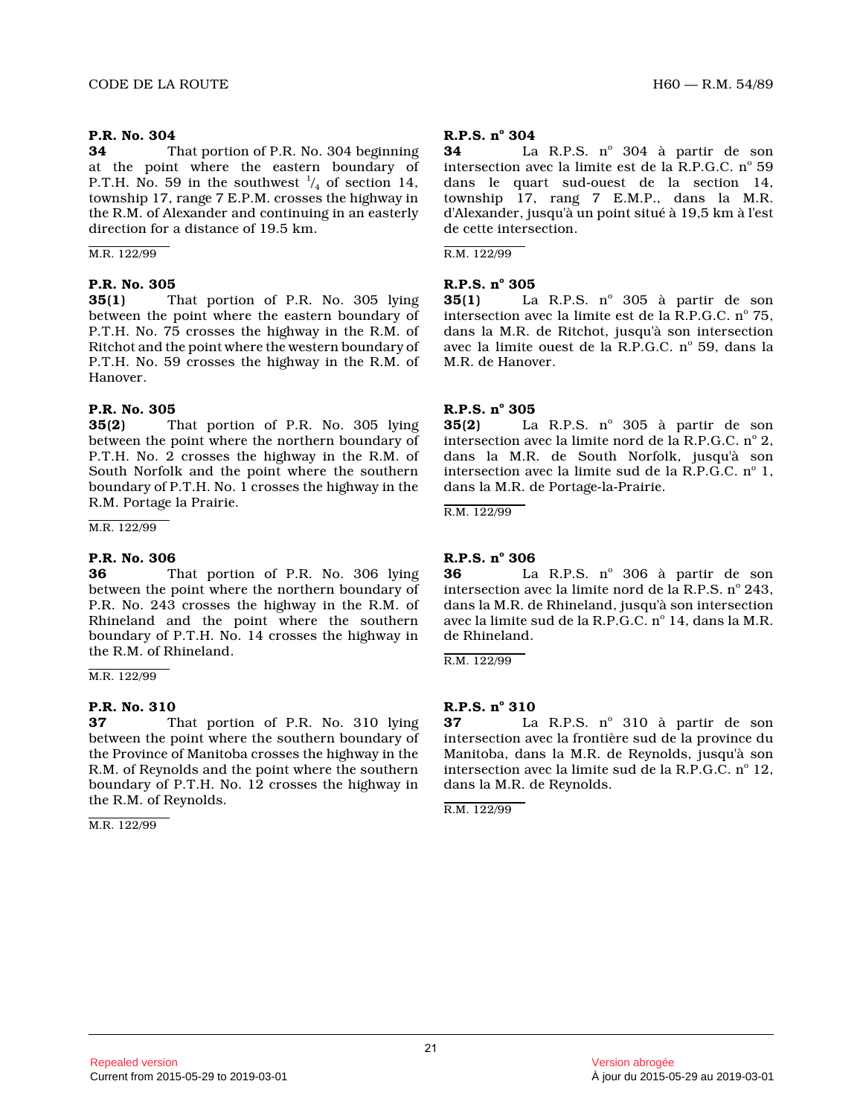**34** That portion of P.R. No. 304 beginning at the point where the eastern boundary of P.T.H. No. 59 in the southwest  $\frac{1}{4}$  of section 14, township 17, range 7 E.P.M. crosses the highway in the R.M. of Alexander and continuing in an easterly direction for a distance of 19.5 km.

M.R. 122/99

#### **P.R. No. 305**

**35(1)** That portion of P.R. No. 305 lying between the point where the eastern boundary of P.T.H. No. 75 crosses the highway in the R.M. of Ritchot and the point where the western boundary of P.T.H. No. 59 crosses the highway in the R.M. of Hanover.

#### **P.R. No. 305**

**35(2)** That portion of P.R. No. 305 lying between the point where the northern boundary of P.T.H. No. 2 crosses the highway in the R.M. of South Norfolk and the point where the southern boundary of P.T.H. No. 1 crosses the highway in the R.M. Portage la Prairie.

M.R. 122/99

#### **P.R. No. 306**

**36** That portion of P.R. No. 306 lying between the point where the northern boundary of P.R. No. 243 crosses the highway in the R.M. of Rhineland and the point where the southern boundary of P.T.H. No. 14 crosses the highway in the R.M. of Rhineland.

M.R. 122/99

#### **P.R. No. 310**

**37** That portion of P.R. No. 310 lying between the point where the southern boundary of the Province of Manitoba crosses the highway in the R.M. of Reynolds and the point where the southern boundary of P.T.H. No. 12 crosses the highway in the R.M. of Reynolds.

M.R. 122/99

# **R.P.S. n o 304**

**34** La R.P.S. n<sup>o</sup> 304 à partir de son intersection avec la limite est de la R.P.G.C.  $n^{\circ}$  59 dans le quart sud-ouest de la section 14, township 17, rang 7 E.M.P., dans la M.R. d'Alexander, jusqu'à un point situé à 19,5 km à l'est de cette intersection.

R.M. 122/99

# **R.P.S. n o 305**

**35(1)** La R.P.S. nº 305 à partir de son intersection avec la limite est de la R.P.G.C.  $n^{\circ}$  75, dans la M.R. de Ritchot, jusqu'à son intersection avec la limite ouest de la R.P.G.C. nº 59, dans la M.R. de Hanover.

# **R.P.S. n o 305**

**35(2)** La R.P.S. nº 305 à partir de son intersection avec la limite nord de la R.P.G.C.  $n^{\circ}$  2, dans la M.R. de South Norfolk, jusqu'à son intersection avec la limite sud de la R.P.G.C.  $n^{\circ}$  1, dans la M.R. de Portage-la-Prairie.

R.M. 122/99

# **R.P.S. n o 306**

**36** La R.P.S. nº 306 à partir de son intersection avec la limite nord de la R.P.S.  $n^{\circ}$  243, dans la M.R. de Rhineland, jusqu'à son intersection avec la limite sud de la R.P.G.C. nº 14, dans la M.R. de Rhineland.

R.M. 122/99

# **R.P.S. n o 310**

**37** La R.P.S. nº 310 à partir de son intersection avec la frontière sud de la province d u Manitoba, dans la M.R. de Reynolds, jusqu'à son intersection avec la limite sud de la R.P.G.C.  $n^{\circ}$  12, dans la M.R. de Reynolds.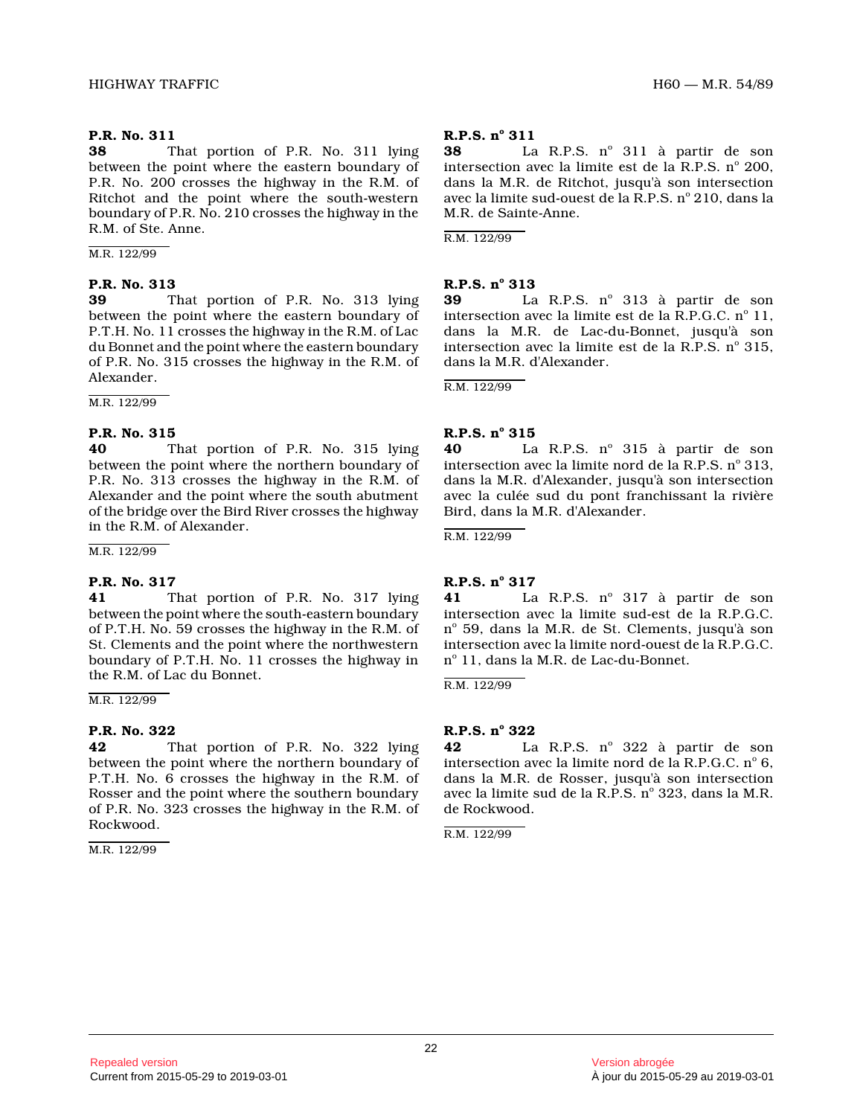**38** That portion of P.R. No. 311 lying between the point where the eastern boundary of P.R. No. 200 crosses the highway in the R.M. of Ritchot and the point where the south-western boundary of P.R. No. 210 crosses the highway in the R.M. of Ste. Anne.

M.R. 122/99

#### **P.R. No. 313**

**39** That portion of P.R. No. 313 lying between the point where the eastern boundary of P.T.H. No. 11 crosses the highway in the R.M. of La c du Bonnet and the point where the eastern boundary of P.R. No. 315 crosses the highway in the R.M. of Alexander.

M.R. 122/99

#### **P.R. No. 315**

**40** That portion of P.R. No. 315 lying between the point where the northern boundary of P.R. No. 313 crosses the highway in the R.M. of Alexander and the point where the south abutment of the bridge over the Bird River crosses the highway in the R.M. of Alexander.

M.R. 122/99

## **P.R. No. 317**

**41** That portion of P.R. No. 317 lying between the point where the south-eastern boundary of P.T.H. No. 59 crosses the highway in the R.M. of St. Clements and the point where the northwestern boundary of P.T.H. No. 11 crosses the highway in the R.M. of Lac du Bonnet.

M.R. 122/99

## **P.R. No. 322**

**42** That portion of P.R. No. 322 lying between the point where the northern boundary of P.T.H. No. 6 crosses the highway in the R.M. of Rosser and the point where the southern boundary of P.R. No. 323 crosses the highway in the R.M. of Rockwood.

M.R. 122/99

# **R.P.S. n o 311**

**38** La R.P.S. n<sup>o</sup> 311 à partir de son intersection avec la limite est de la R.P.S.  $n^{\circ}$  200, dans la M.R. de Ritchot, jusqu'à son intersection avec la limite sud-ouest de la R.P.S. nº 210, dans la M.R. de Sainte-Anne.

R.M. 122/99

# **R.P.S. n o 313**

**39** La R.P.S. nº 313 à partir de son intersection avec la limite est de la R.P.G.C.  $n^{\circ}$  11, dans la M.R. de Lac-du-Bonnet, jusqu'à son intersection avec la limite est de la R.P.S.  $n^{\circ}$  315, dans la M.R. d'Alexander.

R.M. 122/99

# **R.P.S. n o 315**

**40** La R.P.S. n o 315 à partir de son intersection avec la limite nord de la R.P.S.  $n^{\circ}$  313, dans la M.R. d'Alexander, jusqu'à son intersection avec la culée sud du pont franchissant la rivière Bird, dans la M.R. d'Alexander.

R.M. 122/99

# **R.P.S. n o 317**

**41** La R.P.S. n o 317 à partir de son intersection avec la limite sud-est de la R.P.G.C. nº 59, dans la M.R. de St. Clements, jusqu'à son intersection avec la limite nord-ouest de la R.P.G.C. nº 11, dans la M.R. de Lac-du-Bonnet.

R.M. 122/99

# **R.P.S. n o 322**

**42** La R.P.S. n o 322 à partir de son intersection avec la limite nord de la R.P.G.C.  $n^{\circ}$  6, dans la M.R. de Rosser, jusqu'à son intersection avec la limite sud de la R.P.S. nº 323, dans la M.R. de Rockwood.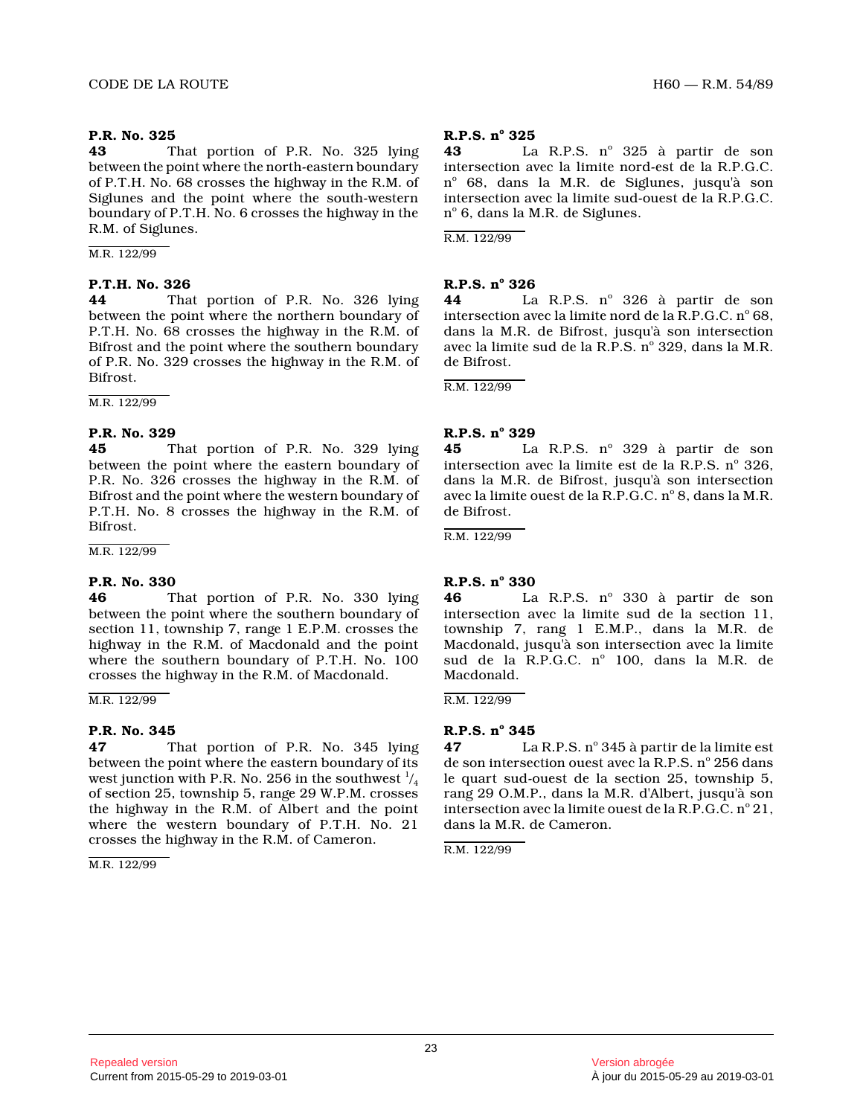**43** That portion of P.R. No. 325 lying between the point where the north-eastern boundary of P.T.H. No. 68 crosses the highway in the R.M. of Siglunes and the point where the south-western boundary of P.T.H. No. 6 crosses the highway in the R.M. of Siglunes.

M.R. 122/99

#### **P.T.H. No. 326**

**44** That portion of P.R. No. 326 lying between the point where the northern boundary of P.T.H. No. 68 crosses the highway in the R.M. of Bifrost and the point where the southern boundary of P.R. No. 329 crosses the highway in the R.M. of Bifrost.

M.R. 122/99

#### **P.R. No. 329**

**45** That portion of P.R. No. 329 lying between the point where the eastern boundary of P.R. No. 326 crosses the highway in the R.M. of Bifrost and the point where the western boundary of P.T.H. No. 8 crosses the highway in the R.M. of Bifrost.

M.R. 122/99

## **P.R. No. 330**

**46** That portion of P.R. No. 330 lying between the point where the southern boundary of section 11, township 7, range 1 E.P.M. crosses the highway in the R.M. of Macdonald and the point where the southern boundary of P.T.H. No. 100 crosses the highway in the R.M. of Macdonald.

M.R. 122/99

## **P.R. No. 345**

**47** That portion of P.R. No. 345 lying between the point where the eastern boundary of its west junction with P.R. No. 256 in the southwest  $\frac{1}{4}$ of section 25, township 5, range 29 W.P.M. crosses the highway in the R.M. of Albert and the point where the western boundary of P.T.H. No. 21 crosses the highway in the R.M. of Cameron.

M.R. 122/99

# **R.P.S. n o 325**

**43** La R.P.S. n o 325 à partir de son intersection avec la limite nord-est de la R.P.G.C. nº 68, dans la M.R. de Siglunes, jusqu'à son intersection avec la limite sud-ouest de la R.P.G.C . nº 6, dans la M.R. de Siglunes.

R.M. 122/99

# **R.P.S. n o 326**

**44** La R.P.S. n o 326 à partir de son intersection avec la limite nord de la R.P.G.C.  $n^{\circ}$  68, dans la M.R. de Bifrost, jusqu'à son intersection avec la limite sud de la R.P.S. nº 329, dans la M.R. de Bifrost.

R.M. 122/99

# **R.P.S. n o 329**

**45** La R.P.S. n o 329 à partir de son intersection avec la limite est de la R.P.S.  $n^{\circ}$  326, dans la M.R. de Bifrost, jusqu'à son intersection avec la limite ouest de la R.P.G.C. nº 8, dans la M.R. de Bifrost.

R.M. 122/99

# **R.P.S. n o 330**

**46** La R.P.S. n o 330 à partir de son intersection avec la limite sud de la section 11, township 7, rang 1 E.M.P., dans la M.R. de Macdonald, jusqu'à son intersection avec la limite sud de la R.P.G.C. nº 100, dans la M.R. de Macdonald.

R.M. 122/99

# **R.P.S. n o 345**

**47** La R.P.S. n o 345 à partir de la limite est de son intersection ouest avec la R.P.S. nº 256 dans le quart sud-ouest de la section 25, township 5, rang 29 O.M.P., dans la M.R. d'Albert, jusqu'à son intersection avec la limite ouest de la R.P.G.C.  $\mathrm{n}^{\circ}\,21,$ dans la M.R. de Cameron.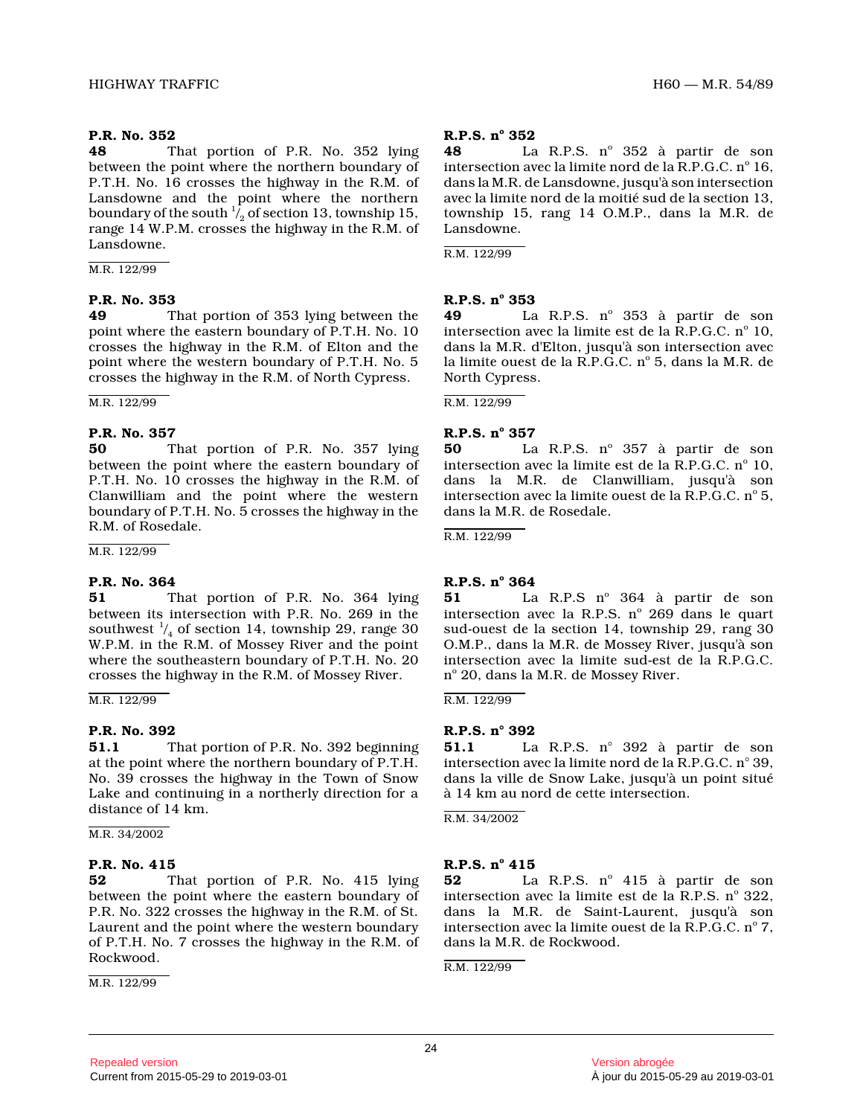**48** That portion of P.R. No. 352 lying between the point where the northern boundary of P.T.H. No. 16 crosses the highway in the R.M. of Lansdowne and the point where the northern boundary of the south  $\frac{1}{2}$  of section 13, township 15, range 14 W.P.M. crosses the highway in the R.M. of Lansdowne.

M.R. 122/99

#### **P.R. No. 353**

**49** That portion of 353 lying between the point where the eastern boundary of P.T.H. No. 10 crosses the highway in the R.M. of Elton and the point where the western boundary of P.T.H. No. 5 crosses the highway in the R.M. of North Cypress.

M.R. 122/99

#### **P.R. No. 357**

**50** That portion of P.R. No. 357 lying between the point where the eastern boundary of P.T.H. No. 10 crosses the highway in the R.M. of Clanwilliam and the point where the western boundary of P.T.H. No. 5 crosses the highway in the R.M. of Rosedale.

M.R. 122/99

## **P.R. No. 364**

**51** That portion of P.R. No. 364 lying between its intersection with P.R. No. 269 in the southwest  $\frac{1}{4}$  of section 14, township 29, range 30 W.P.M. in the R.M. of Mossey River and the point where the southeastern boundary of P.T.H. No. 20 crosses the highway in the R.M. of Mossey River.

M.R. 122/99

## **P.R. No. 392**

**51.1** That portion of P.R. No. 392 beginning at the point where the northern boundary of P.T.H. No. 39 crosses the highway in the Town of Snow Lake and continuing in a northerly direction for a distance of 14 km.

M.R. 34/2002

## **P.R. No. 415**

**52** That portion of P.R. No. 415 lying between the point where the eastern boundary of P.R. No. 322 crosses the highway in the R.M. of St. Laurent and the point where the western boundary of P.T.H. No. 7 crosses the highway in the R.M. of Rockwood.

M.R. 122/99

# **R.P.S. n o 352**

**48** La R.P.S. n o 352 à partir de son intersection avec la limite nord de la R.P.G.C.  $n^{\circ}$  16, dans la M.R. de Lansdowne, jusqu'à son intersection avec la limite nord de la moitié sud de la section 13, township 15, rang 14 O.M.P., dans la M.R. de Lansdowne.

R.M. 122/99

# **R.P.S. n o 353**

**49** La R.P.S. n o 353 à partir de son intersection avec la limite est de la R.P.G.C.  $n^{\circ}$  10, dans la M.R. d'Elton, jusqu'à son intersection avec la limite ouest de la R.P.G.C. nº 5, dans la M.R. de North Cypress.

R.M. 122/99

# **R.P.S. n o 357**

**50** La R.P.S. nº 357 à partir de son intersection avec la limite est de la R.P.G.C.  $n^{\circ}$  10, dans la M.R. de Clanwilliam, jusqu'à son intersection avec la limite ouest de la R.P.G.C.  $n^{\circ}$  5, dans la M.R. de Rosedale.

R.M. 122/99

# **R.P.S. n o 364**

**51** La R.P.S n° 364 à partir de son intersection avec la R.P.S.  $n^{\circ}$  269 dans le quart sud-ouest de la section 14, township 29, rang 30 O.M.P., dans la M.R. de Mossey River, jusqu'à son intersection avec la limite sud-est de la R.P.G.C. nº 20, dans la M.R. de Mossey River.

R.M. 122/99

## **R.P.S. n° 392**

**51.1** La R.P.S. n° 392 à partir de son intersection avec la limite nord de la R.P.G.C. n° 39, dans la ville de Snow Lake, jusqu'à un point situé à 14 km au nord de cette intersection.

R.M. 34/2002

# **R.P.S. n o 415**

**52** La R.P.S. n<sup>o</sup> 415 à partir de son intersection avec la limite est de la R.P.S.  $n^{\circ}$  322, dans la M.R. de Saint-Laurent, jusqu'à son intersection avec la limite ouest de la R.P.G.C. nº 7, dans la M.R. de Rockwood.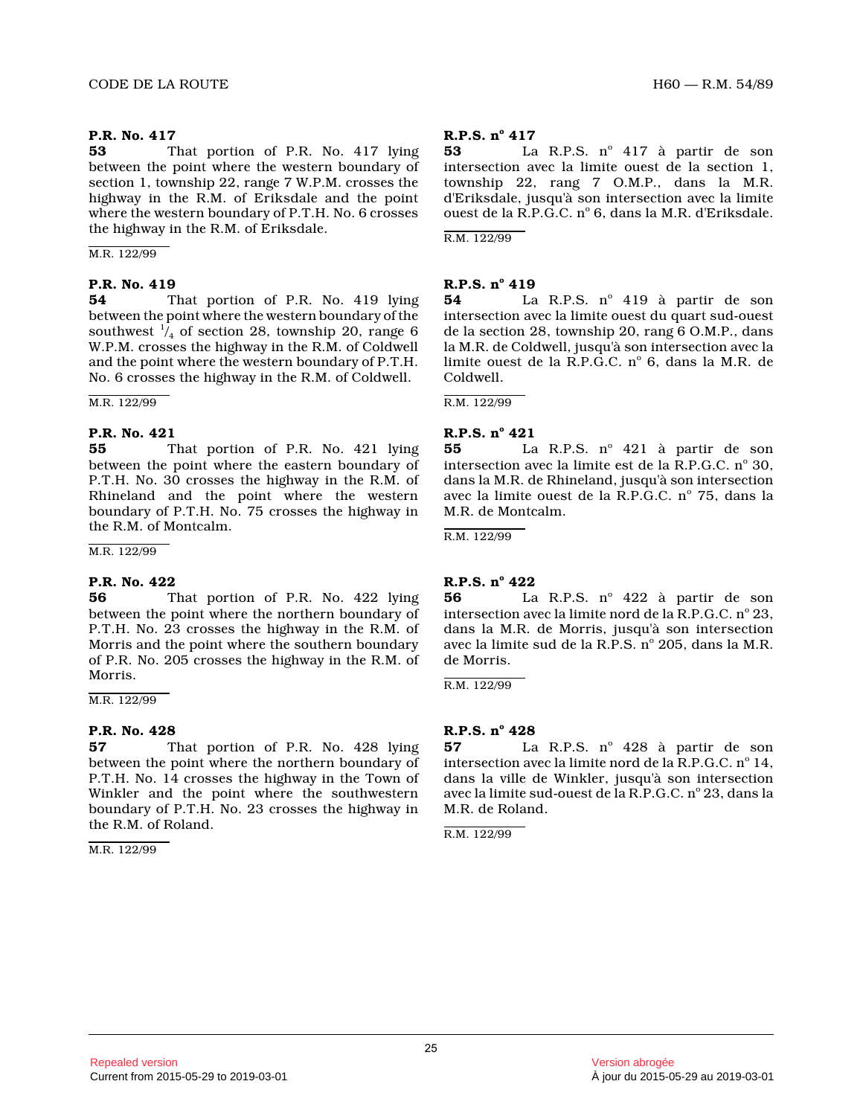**53** That portion of P.R. No. 417 lying between the point where the western boundary of section 1, township 22, range 7 W.P.M. crosses the highway in the R.M. of Eriksdale and the point where the western boundary of P.T.H. No. 6 crosses the highway in the R.M. of Eriksdale.

M.R. 122/99

#### **P.R. No. 419**

**54** That portion of P.R. No. 419 lying between the point where the western boundary of the southwest  $\frac{1}{4}$  of section 28, township 20, range 6 W.P.M. crosses the highway in the R.M. of Coldwell and the point where the western boundary of P.T.H. No. 6 crosses the highway in the R.M. of Coldwell.

M.R. 122/99

#### **P.R. No. 421**

**55** That portion of P.R. No. 421 lying between the point where the eastern boundary of P.T.H. No. 30 crosses the highway in the R.M. of Rhineland and the point where the western boundary of P.T.H. No. 75 crosses the highway in the R.M. of Montcalm.

M.R. 122/99

#### **P.R. No. 422**

**56** That portion of P.R. No. 422 lying between the point where the northern boundary of P.T.H. No. 23 crosses the highway in the R.M. of Morris and the point where the southern boundary of P.R. No. 205 crosses the highway in the R.M. of Morris.

M.R. 122/99

#### **P.R. No. 428**

**57** That portion of P.R. No. 428 lying between the point where the northern boundary of P.T.H. No. 14 crosses the highway in the Town of Winkler and the point where the southwestern boundary of P.T.H. No. 23 crosses the highway in the R.M. of Roland.

M.R. 122/99

# **R.P.S. n o 417**

**53** La R.P.S. n<sup>o</sup> 417 à partir de son intersection avec la limite ouest de la section 1, township 22, rang 7 O.M.P., dans la M.R. d'Eriksdale, jusqu'à son intersection avec la limit e ouest de la R.P.G.C. nº 6, dans la M.R. d'Eriksdale.

R.M. 122/99

# **R.P.S. n o 419**

**54** La R.P.S. nº 419 à partir de son intersection avec la limite ouest du quart sud-oues t de la section 28, township 20, rang 6 O.M.P., dans la M.R. de Coldwell, jusqu'à son intersection avec la limite ouest de la R.P.G.C. nº 6, dans la M.R. de Coldwell.

R.M. 122/99

# **R.P.S. n o 421**

**55** La R.P.S. n<sup>o</sup> 421 à partir de son intersection avec la limite est de la R.P.G.C.  $n^{\circ}$  30, dans la M.R. de Rhineland, jusqu'à son intersection avec la limite ouest de la R.P.G.C. nº 75, dans la M.R. de Montcalm.

R.M. 122/99

### **R.P.S. n o 422**

**56** La R.P.S. n<sup>o</sup> 422 à partir de son intersection avec la limite nord de la R.P.G.C.  $n^{\circ}$  23, dans la M.R. de Morris, jusqu'à son intersection avec la limite sud de la R.P.S. nº 205, dans la M.R. de Morris.

R.M. 122/99

# **R.P.S. n o 428**

**57** La R.P.S. n<sup>o</sup> 428 à partir de son intersection avec la limite nord de la R.P.G.C.  $n^{\circ}$  14, dans la ville de Winkler, jusqu'à son intersection avec la limite sud-ouest de la R.P.G.C. nº 23, dans la M.R. de Roland.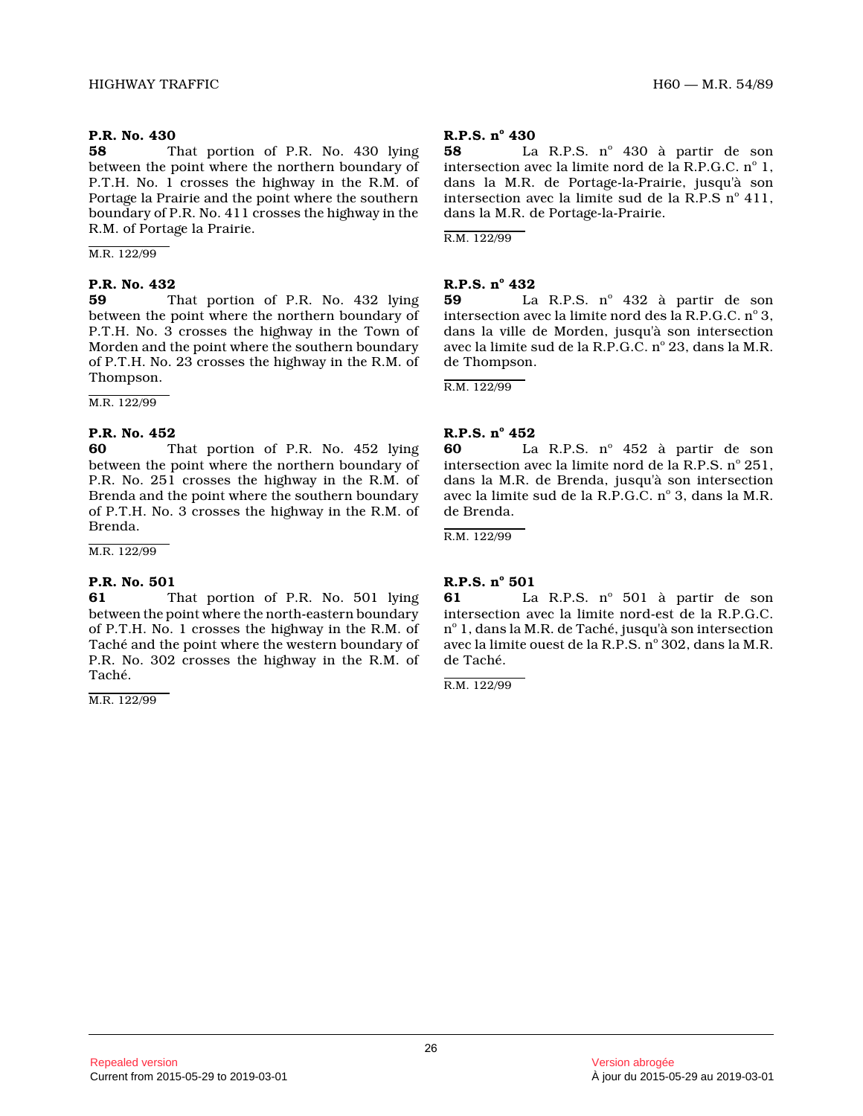**58** That portion of P.R. No. 430 lying between the point where the northern boundary of P.T.H. No. 1 crosses the highway in the R.M. of Portage la Prairie and the point where the southern boundary of P.R. No. 411 crosses the highway in the R.M. of Portage la Prairie.

M.R. 122/99

#### **P.R. No. 432**

**59** That portion of P.R. No. 432 lying between the point where the northern boundary of P.T.H. No. 3 crosses the highway in the Town of Morden and the point where the southern boundary of P.T.H. No. 23 crosses the highway in the R.M. of Thompson.

M.R. 122/99

#### **P.R. No. 452**

**60** That portion of P.R. No. 452 lying between the point where the northern boundary of P.R. No. 251 crosses the highway in the R.M. of Brenda and the point where the southern boundary of P.T.H. No. 3 crosses the highway in the R.M. of Brenda.

M.R. 122/99

## **P.R. No. 501**

**61** That portion of P.R. No. 501 lying between the point where the north-eastern boundary of P.T.H. No. 1 crosses the highway in the R.M. of Taché and the point where the western boundary of P.R. No. 302 crosses the highway in the R.M. of Taché.

M.R. 122/99

# **R.P.S. n o 430**

**58** La R.P.S. n<sup>o</sup> 430 à partir de son intersection avec la limite nord de la R.P.G.C. nº 1, dans la M.R. de Portage-la-Prairie, jusqu'à son intersection avec la limite sud de la R.P.S  $n^{\circ}$  411, dans la M.R. de Portage-la-Prairie.

R.M. 122/99

# **R.P.S. n o 432**

**59** La R.P.S. n<sup>o</sup> 432 à partir de son intersection avec la limite nord des la R.P.G.C.  $n^{\circ}$  3, dans la ville de Morden, jusqu'à son intersection avec la limite sud de la R.P.G.C. nº 23, dans la M.R. de Thompson.

R.M. 122/99

# **R.P.S. n o 452**

**60** La R.P.S. nº 452 à partir de son intersection avec la limite nord de la R.P.S.  $n^{\circ}$  251, dans la M.R. de Brenda, jusqu'à son intersection avec la limite sud de la R.P.G.C. nº 3, dans la M.R. de Brenda.

R.M. 122/99

# **R.P.S. n o 501**

**61** La R.P.S. n<sup>o</sup> 501 à partir de son intersection avec la limite nord-est de la R.P.G.C.  ${\rm n}^\circ$  1, dans la M.R. de Taché, jusqu'à son intersection avec la limite ouest de la R.P.S. nº 302, dans la M.R. de Taché.

R.M. 122/99

Repealed version Version abrogée Current from 2015-05-29 to 2019-03-01 À jour du 2015-05-29 au 2019-03-01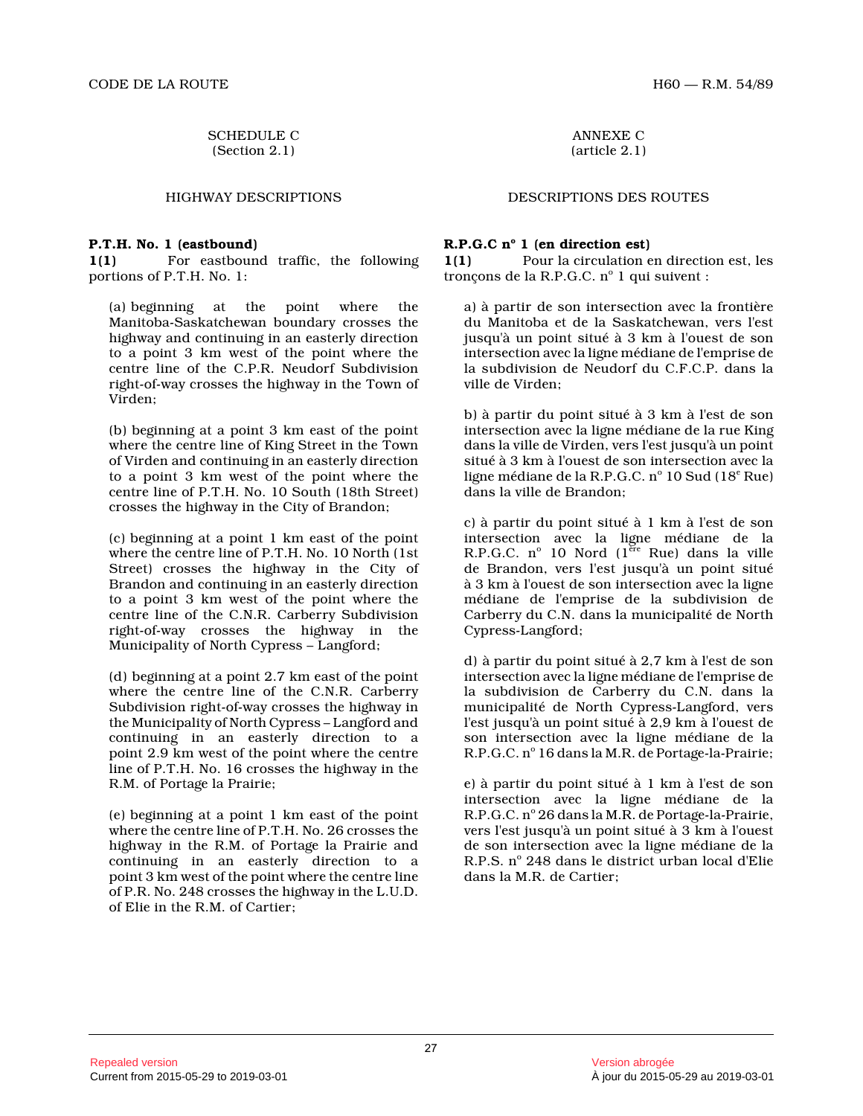SCHEDULE C (Section 2.1)

#### **P.T.H. No. 1 (eastbound)**

**1(1)** For eastbound traffic, the following portions of P.T.H. No. 1:

(a) beginning at the point where the Manitoba-Saskatchewan boundary crosses the highway and continuing in an easterly direction to a point 3 km west of the point where the centre line of the C.P.R. Neudorf Subdivision right-of-way crosses the highway in the Town of Virden;

(b) beginning at a point 3 km east of the point where the centre line of King Street in the Town of Virden and continuing in an easterly direction to a point 3 km west of the point where the centre line of P.T.H. No. 10 South (18th Street) crosses the highway in the City of Brandon;

(c) beginning at a point 1 km east of the point where the centre line of P.T.H. No. 10 North (1st Street) crosses the highway in the City of Brandon and continuing in an easterly direction to a point 3 km west of the point where the centre line of the C.N.R. Carberry Subdivision right-of-way crosses the highway in the Municipality of North Cypress – Langford;

(d) beginning at a point 2.7 km east of the point where the centre line of the C.N.R. Carberry Subdivision right-of-way crosses the highway in the Municipality of North Cypress – Langford and continuing in an easterly direction to a point 2.9 km west of the point where the centre line of P.T.H. No. 16 crosses the highway in the R.M. of Portage la Prairie;

(e) beginning at a point 1 km east of the point where the centre line of P.T.H. No. 26 crosses the highway in the R.M. of Portage la Prairie and continuing in an easterly direction to a point 3 km west of the point where the centre line of P.R. No. 248 crosses the highway in the L.U.D. of Elie in the R.M. of Cartier;

ANNEXE C (article 2.1)

HIGHWAY DESCRIPTIONS DESCRIPTIONS DES ROUTES

# **R.P.G.C n o 1 (en direction est)**

**1(1)** Pour la circulation en direction est, les tronçons de la R.P.G.C.  $n^{\circ}$  1 qui suivent :

a) à partir de son intersection avec la frontière du Manitoba et de la Saskatchewan, vers l'est jusqu'à un point situé à 3 km à l'ouest de son intersection avec la ligne médiane de l'emprise de la subdivision de Neudorf du C.F.C.P. dans la ville de Virden;

b) à partir du point situé à 3 km à l'est de son intersection avec la ligne médiane de la rue King dans la ville de Virden, vers l'est jusqu'à un poin t situé à 3 km à l'ouest de son intersection avec la ligne médiane de la R.P.G.C. nº 10 Sud (18<mark>° Rue)</mark> dans la ville de Brandon;

c) à partir du point situé à 1 km à l'est de son intersection avec la ligne médiane de la R.P.G.C.  $n^{\circ}$  10 Nord (1 $^{\text{free}}$  Rue) dans la ville de Brandon, vers l'est jusqu'à un point situé à 3 km à l'ouest de son intersection avec la ligne médiane de l'emprise de la subdivision de Carberry du C.N. dans la municipalité de North Cypress-Langford;

d) à partir du point situé à 2,7 km à l'est de son intersection avec la ligne médiane de l'emprise de la subdivision de Carberry du C.N. dans la municipalité de North Cypress-Langford, vers l'est jusqu'à un point situé à 2,9 km à l'ouest de son intersection avec la ligne médiane de la R.P.G.C. nº 16 dans la M.R. de Portage-la-Prairie;

e) à partir du point situé à 1 km à l'est de son intersection avec la ligne médiane de la R.P.G.C. nº 26 dans la M.R. de Portage-la-Prairie, vers l'est jusqu'à un point situé à 3 km à l'ouest de son intersection avec la ligne médiane de la R.P.S. nº 248 dans le district urban local d'Elie dans la M.R. de Cartier;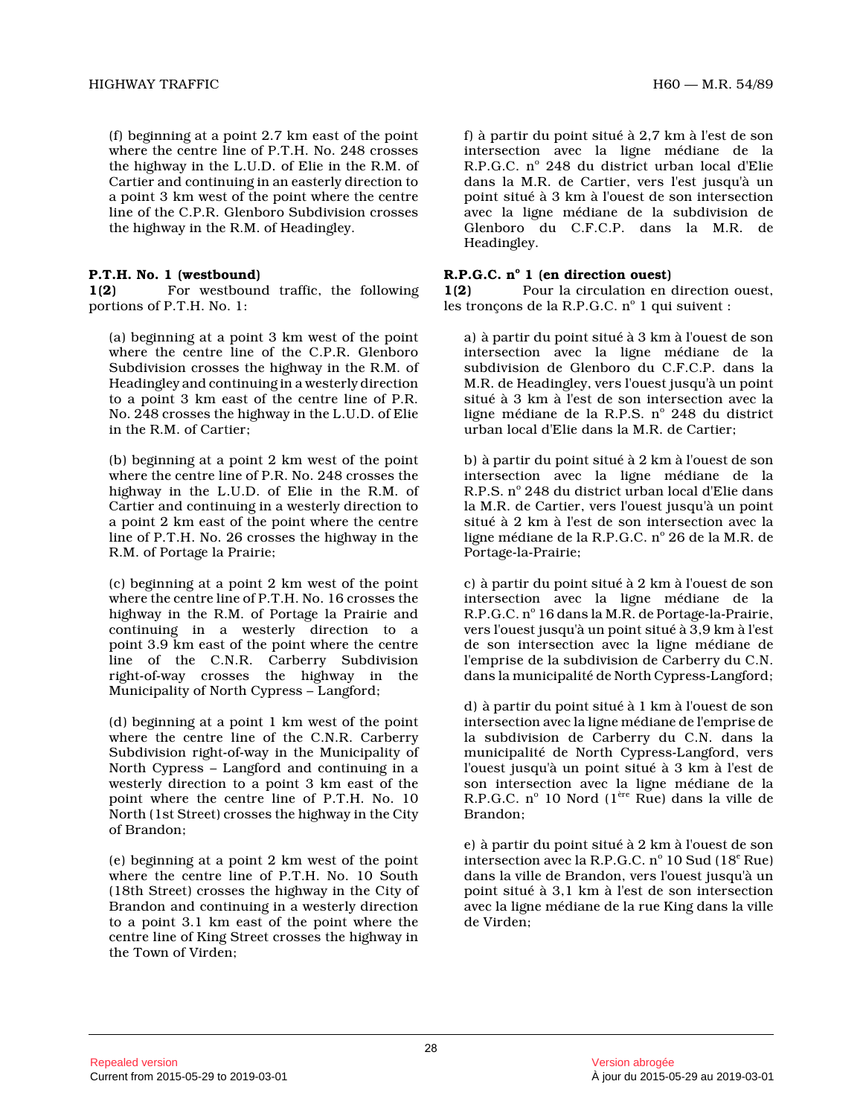(f) beginning at a point 2.7 km east of the point where the centre line of P.T.H. No. 248 crosses the highway in the L.U.D. of Elie in the R.M. of Cartier and continuing in an easterly direction to a point 3 km west of the point where the centre line of the C.P.R. Glenboro Subdivision crosses the highway in the R.M. of Headingley.

# **P.T.H. No. 1 (westbound)**

**1(2)** For westbound traffic, the following portions of P.T.H. No. 1:

(a) beginning at a point 3 km west of the point where the centre line of the C.P.R. Glenboro Subdivision crosses the highway in the R.M. of Headingley and continuing in a westerly direction to a point 3 km east of the centre line of P.R. No. 248 crosses the highway in the L.U.D. of Elie in the R.M. of Cartier;

(b) beginning at a point 2 km west of the point where the centre line of P.R. No. 248 crosses the highway in the L.U.D. of Elie in the R.M. of Cartier and continuing in a westerly direction to a point 2 km east of the point where the centre line of P.T.H. No. 26 crosses the highway in the R.M. of Portage la Prairie;

(c) beginning at a point 2 km west of the point where the centre line of P.T.H. No. 16 crosses the highway in the R.M. of Portage la Prairie and continuing in a westerly direction to a point 3.9 km east of the point where the centre line of the C.N.R. Carberry Subdivision right-of-way crosses the highway in the Municipality of North Cypress – Langford;

(d) beginning at a point 1 km west of the point where the centre line of the C.N.R. Carberry Subdivision right-of-way in the Municipality of North Cypress – Langford and continuing in a westerly direction to a point 3 km east of the point where the centre line of P.T.H. No. 10 North (1st Street) crosses the highway in the City of Brandon;

(e) beginning at a point 2 km west of the point where the centre line of P.T.H. No. 10 South (18th Street) crosses the highway in the City of Brandon and continuing in a westerly direction to a point 3.1 km east of the point where the centre line of King Street crosses the highway in the Town of Virden;

f) à partir du point situé à 2,7 km à l'est de son intersection avec la ligne médiane de la R.P.G.C. nº 248 du district urban local d'Elie dans la M.R. de Cartier, vers l'est jusqu'à un point situé à 3 km à l'ouest de son intersection avec la ligne médiane de la subdivision de Glenboro du C.F.C.P. dans la M.R. de Headingley.

# **R.P.G.C. n o 1 (en direction ouest)**

**1(2)** Pour la circulation en direction ouest, les tronçons de la R.P.G.C. nº 1 qui suivent :

a) à partir du point situé à 3 km à l'ouest de son intersection avec la ligne médiane de la subdivision de Glenboro du C.F.C.P. dans la M.R. de Headingley, vers l'ouest jusqu'à un point situé à 3 km à l'est de son intersection avec la ligne médiane de la R.P.S. nº 248 du district urban local d'Elie dans la M.R. de Cartier;

b) à partir du point situé à 2 km à l'ouest de son intersection avec la ligne médiane de la R.P.S. nº 248 du district urban local d'Elie dans la M.R. de Cartier, vers l'ouest jusqu'à un point situé à 2 km à l'est de son intersection avec la ligne médiane de la R.P.G.C. nº 26 de la M.R. de Portage-la-Prairie;

c) à partir du point situé à 2 km à l'ouest de son intersection avec la ligne médiane de la R.P.G.C. nº 16 dans la M.R. de Portage-la-Prairie, vers l'ouest jusqu'à un point situé à 3,9 km à l'es t de son intersection avec la ligne médiane de l'emprise de la subdivision de Carberry du C.N. dans la municipalité de North Cypress-Langford;

d) à partir du point situé à 1 km à l'ouest de son intersection avec la ligne médiane de l'emprise de la subdivision de Carberry du C.N. dans la municipalité de North Cypress-Langford, vers l'ouest jusqu'à un point situé à 3 km à l'est de son intersection avec la ligne médiane de la R.P.G.C. nº 10 Nord (1<sup>ère</sup> Rue) dans la ville de Brandon;

e) à partir du point situé à 2 km à l'ouest de son intersection avec la R.P.G.C.  $n^{\circ}$  10 Sud (18 $^e$  Rue) dans la ville de Brandon, vers l'ouest jusqu'à un point situé à 3,1 km à l'est de son intersection avec la ligne médiane de la rue King dans la ville de Virden;